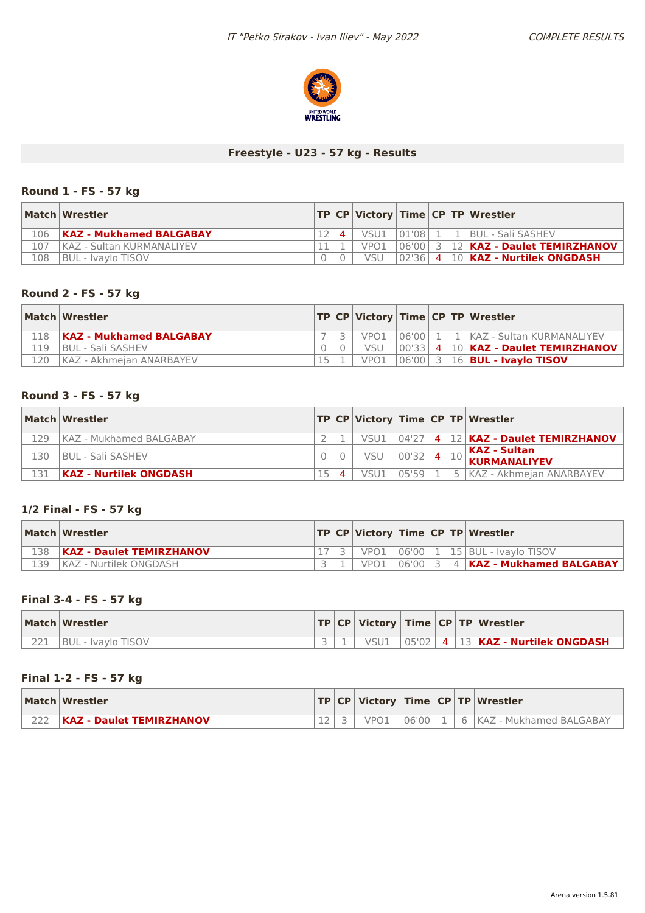

# **Freestyle - U23 - 57 kg - Results**

### **Round 1 - FS - 57 kg**

|     | Match Wrestler                 |                   |                  |  | TP CP Victory Time CP TP Wrestler         |
|-----|--------------------------------|-------------------|------------------|--|-------------------------------------------|
| 106 | <b>KAZ - Mukhamed BALGABAY</b> | $\mathbf{\Delta}$ | VSU1             |  | 01'08   1   1   BUL - Sali SASHEV         |
| 107 | KAZ - Sultan KURMANALIYEV      |                   | VPO <sub>1</sub> |  | 06'00  3   12   KAZ - Daulet TEMIRZHANOV  |
| 108 | BUL - Ivavlo TISOV             |                   | <b>VSU</b>       |  | $ 02 36 $ 4 $ 10 $ KAZ - Nurtilek ONGDASH |

### **Round 2 - FS - 57 kg**

|     | Match Wrestler                 |  |                  |  | TP CP Victory Time CP TP Wrestler            |
|-----|--------------------------------|--|------------------|--|----------------------------------------------|
| 118 | <b>KAZ - Mukhamed BALGABAY</b> |  | VPO <sub>1</sub> |  | 106'00   1   1   KAZ - Sultan KURMANALIYEV   |
| 119 | <b>BUL - Sali SASHEV</b>       |  | VSU              |  | 00'33  4  10   KAZ - Daulet TEMIRZHANOV      |
| 120 | KAZ - Akhmeian ANARBAYEV       |  | VPO1             |  | $ 06'00 $ 3   16   <b>BUL - Ivaylo TISOV</b> |

#### **Round 3 - FS - 57 kg**

|     | Match Wrestler                |  |      |           |  | TP CP Victory Time CP TP Wrestler                         |
|-----|-------------------------------|--|------|-----------|--|-----------------------------------------------------------|
| 129 | KAZ - Mukhamed BALGABAY       |  | VSU1 |           |  | 104'27  4  12 <b>KAZ - Daulet TEMIRZHANOV</b>             |
| 130 | I BUL - Sali SASHEV           |  | VSU  | $00'32$ 4 |  | $\sqrt{K}$ KAZ - Sultan<br>$\mathbb{E}^{10}$ KURMANALIYEV |
| 131 | <b>KAZ - Nurtilek ONGDASH</b> |  | VSU1 | 0559      |  | 5 KAZ - Akhmeian ANARBAYEV                                |

# **1/2 Final - FS - 57 kg**

|     | Match   Wrestler                |  |      |  | <b>TP CP Victory Time CP TP Wrestler</b>      |
|-----|---------------------------------|--|------|--|-----------------------------------------------|
| 138 | <b>KAZ - Daulet TEMIRZHANOV</b> |  |      |  | VPO1 06'00 1 15 BUL - Ivavlo TISOV            |
| 139 | KAZ - Nurtilek ONGDASH          |  | VPO1 |  | 06'00  3   4   <b>KAZ - Mukhamed BALGABAY</b> |

#### **Final 3-4 - FS - 57 kg**

|                      | Match Wrestler     |  |      |  | $ TP CP $ Victory $ Time CP TP $ Wrestler                        |
|----------------------|--------------------|--|------|--|------------------------------------------------------------------|
| $\cap$ $\cap$ $\cap$ | BUL - Ivavlo TISOV |  | VSU1 |  | $\vert$ 05'02 $\vert$ 4 $\vert$ 13 <b>KAZ - Nurtilek ONGDASH</b> |

### **Final 1-2 - FS - 57 kg**

| Match Wrestler                  |  |       |      | $ TP CP $ Victory $ Time CP TP $ Wrestler |
|---------------------------------|--|-------|------|-------------------------------------------|
| <b>KAZ - Daulet TEMIRZHANOV</b> |  | 06'00 | $-6$ | IKAZ - Mukhamed BALGABAY                  |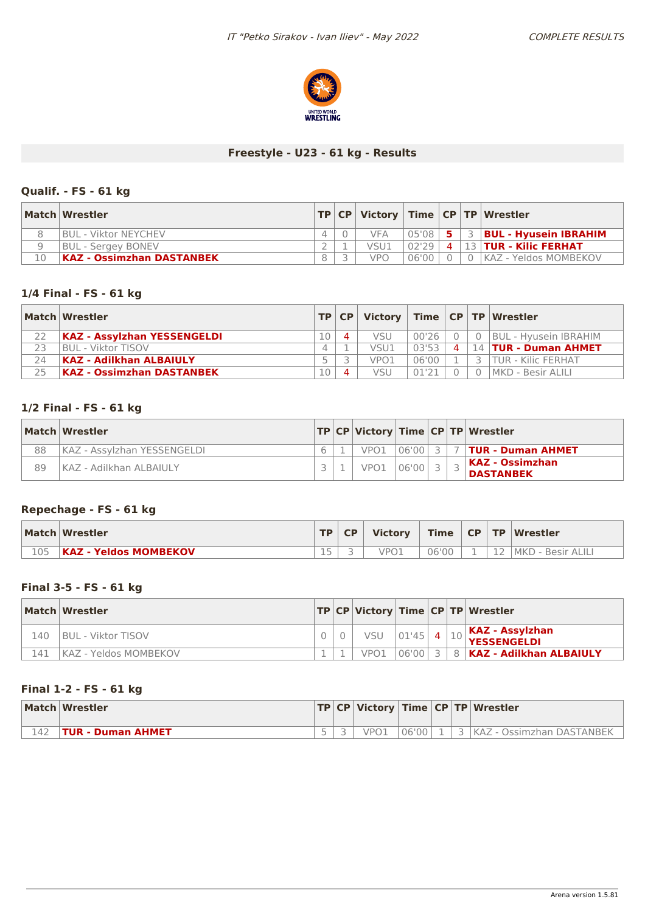

### **Freestyle - U23 - 61 kg - Results**

# **Qualif. - FS - 61 kg**

|    | Match Wrestler                   |   |            |       |  | $ TP CP $ Victory $ Time CP TP $ Wrestler |
|----|----------------------------------|---|------------|-------|--|-------------------------------------------|
|    | <b>BUL - Viktor NEYCHEV</b>      |   | <b>VFA</b> | 05'08 |  | $5 \mid 3 \mid$ BUL - Hyusein IBRAHIM     |
|    | <b>BUL</b> - Sergey BONEV        |   | VSU1       | 02'29 |  | $4$   13   TUR - Kilic FERHAT             |
| 10 | <b>KAZ - Ossimzhan DASTANBEK</b> | 8 | <b>VPO</b> | 06'00 |  | $0$ 0 KAZ - Yeldos MOMBEKOV               |

### **1/4 Final - FS - 61 kg**

|    | Match Wrestler                     |    | TP CP     | Victory          |       |                   | Time $ CP TP Wrestler$    |
|----|------------------------------------|----|-----------|------------------|-------|-------------------|---------------------------|
|    | <b>KAZ - Assylzhan YESSENGELDI</b> | 10 | $\Delta$  | <b>VSU</b>       | 00'26 |                   | 0   BUL - Hyusein IBRAHIM |
| 23 | I BUL - Viktor TISOV               |    |           | VSU1             | 03'53 | $\mathbf{\Delta}$ | 14   TUR - Duman AHMET    |
| 24 | <b>KAZ - Adilkhan ALBAIULY</b>     |    |           | VPO <sub>1</sub> | 06'00 |                   | TUR - Kilic FERHAT        |
| 25 | <b>KAZ - Ossimzhan DASTANBEK</b>   | 10 | $\Lambda$ | VSU              | 01'21 |                   | l MKD - Besir ALILI       |

### **1/2 Final - FS - 61 kg**

|    | Match Wrestler              |  |                  |           |  | TP CP Victory Time CP TP Wrestler    |
|----|-----------------------------|--|------------------|-----------|--|--------------------------------------|
| 88 | KAZ - Assylzhan YESSENGELDI |  | VPO1             | 06'00 3 1 |  | <b>7   TUR - Duman AHMET</b>         |
| 89 | KAZ - Adilkhan ALBAIULY     |  | VPO <sub>1</sub> | 06'00     |  | KAZ - Ossimzhan <br><b>DASTANBEK</b> |

# **Repechage - FS - 61 kg**

|     | Match Wrestler               | TD I | <b>CP</b> | <b>Victory</b> | <b>Time</b> | CP |    | <b>TP Wrestler</b> |
|-----|------------------------------|------|-----------|----------------|-------------|----|----|--------------------|
| 105 | <b>KAZ - Yeldos MOMBEKOV</b> | $-$  |           | VPO            | 06'00       |    | -- | MKD - Besir ALILI  |

### **Final 3-5 - FS - 61 kg**

|     | Match Wrestler                |  |                  |             |  | TP CP Victory Time CP TP Wrestler                                                               |
|-----|-------------------------------|--|------------------|-------------|--|-------------------------------------------------------------------------------------------------|
| L40 | <b>BUL - Viktor TISOV</b>     |  | VSU              | $ 01'45 $ 4 |  | $\left  \begin{smallmatrix} 10 \end{smallmatrix} \right $ KAZ - Assylzhan<br><b>YESSENGELDI</b> |
| L41 | <b>IKAZ - Yeldos MOMBEKOV</b> |  | VPO <sub>1</sub> |             |  | 106'001 3 1 8 1 KAZ - Adilkhan ALBAIULY                                                         |

### **Final 1-2 - FS - 61 kg**

|     | Match Wrestler           |  |      |       |   | $ TP CP $ Victory $ Time CP TP $ Wrestler |
|-----|--------------------------|--|------|-------|---|-------------------------------------------|
| 142 | <b>TUR - Duman AHMET</b> |  | VPO1 | 06'00 | - | KAZ - Ossimzhan DASTANBEK                 |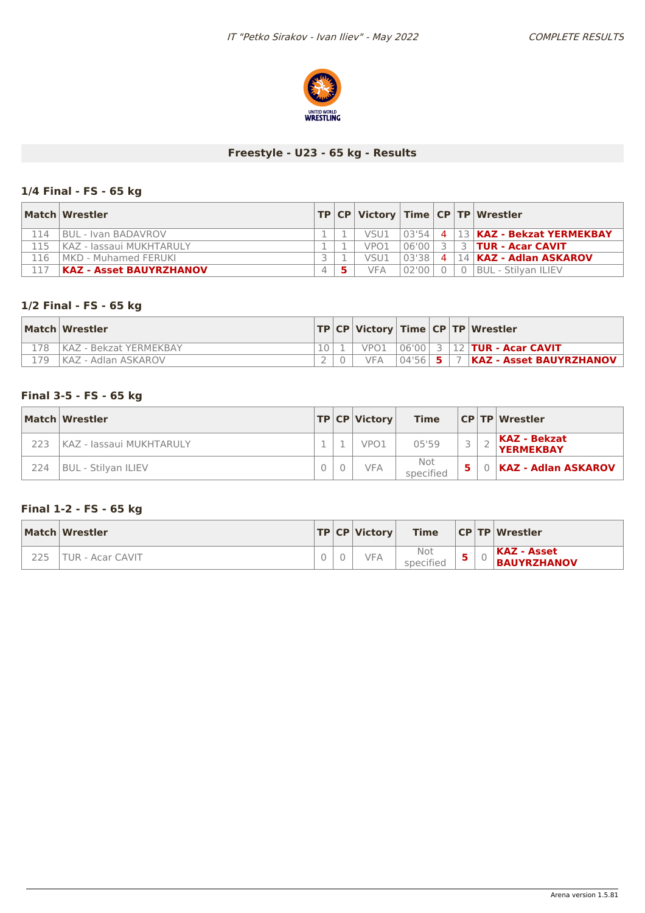

# **Freestyle - U23 - 65 kg - Results**

# **1/4 Final - FS - 65 kg**

|     | Match Wrestler                 |          |                  |            |                | $ TP CP $ Victory $ Time CP TP $ Wrestler |
|-----|--------------------------------|----------|------------------|------------|----------------|-------------------------------------------|
| 114 | <b>BUL - Ivan BADAVROV</b>     |          | VSU1             |            |                | 03'54   4   13   KAZ - Bekzat YERMEKBAY   |
| 115 | KAZ - Jassaui MUKHTARULY       |          | VPO <sub>1</sub> | 06'00      | $\overline{z}$ | <b>3   TUR - Acar CAVIT</b>               |
| 16  | MKD - Muhamed FERUKI           |          | VSU1             | $103'38 +$ |                | 4   14   KAZ - Adlan ASKAROV              |
|     | <b>KAZ - Asset BAUYRZHANOV</b> | $\Delta$ | VFA              | 02'00      |                | <b>BUL - Stilvan ILIEV</b>                |

### **1/2 Final - FS - 65 kg**

|      | Match Wrestler              |  |      |  | $ TP CP $ Victory   Time $ CP TP $ Wrestler |
|------|-----------------------------|--|------|--|---------------------------------------------|
| 178  | KAZ - Bekzat YERMEKBAY      |  | VPO1 |  | $ 06'00 $ 3   12   TUR - Acar CAVIT         |
| 179. | <b>IKAZ - Adlan ASKAROV</b> |  |      |  | 04'56   5   7   KAZ - Asset BAUYRZHANOV     |

#### **Final 3-5 - FS - 65 kg**

|     | Match Wrestler           |  | TP CP Victor     | <b>Time</b>      |   | <b>CP TP Wrestler</b>                   |
|-----|--------------------------|--|------------------|------------------|---|-----------------------------------------|
| 223 | KAZ - Jassaui MUKHTARULY |  | VPO <sub>1</sub> | 05'59            |   | <b>KAZ - Bekzat</b><br><b>YERMEKBAY</b> |
| 224 | BUL - Stilvan ILIEV      |  | <b>VFA</b>       | Not<br>specified | 5 | 0   KAZ - Adlan ASKAROV                 |

# **Final 1-2 - FS - 65 kg**

| Match Wrestler   |  | TP CP Victory | <b>Time</b>      |  | CP TP Wrestler                    |
|------------------|--|---------------|------------------|--|-----------------------------------|
| TUR - Acar CAVIT |  | VFA           | Not<br>specified |  | KAZ - Asset<br><b>BAUYRZHANOV</b> |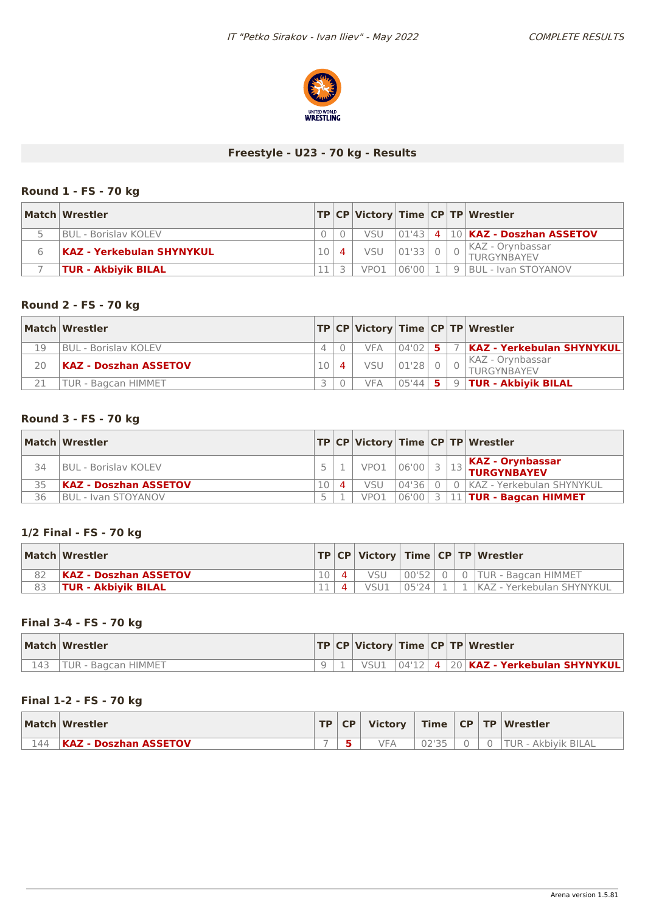

# **Freestyle - U23 - 70 kg - Results**

### **Round 1 - FS - 70 kg**

| Match Wrestler             |  |                  |         |                | TP CP Victory Time CP TP Wrestler        |
|----------------------------|--|------------------|---------|----------------|------------------------------------------|
| BUL - Borislav KOLEV       |  | VSU              |         |                | $ 01'43 $ 4 $ 10 $ KAZ - Doszhan ASSETOV |
| KAZ - Yerkebulan SHYNYKUL  |  | <b>VSU</b>       | 01'33 0 |                | KAZ - Orynbassar<br>TURGYNBAYEV          |
| <b>TUR - Akbiyik BILAL</b> |  | VPO <sub>1</sub> | 06'00 1 | 9 <sub>1</sub> | <b>BUL - Ivan STOYANOV</b>               |

### **Round 2 - FS - 70 kg**

|    | Match Wrestler               |  |            |           |     | TP CP Victory Time CP TP Wrestler      |
|----|------------------------------|--|------------|-----------|-----|----------------------------------------|
| 19 | BUL - Borislav KOLEV         |  | <b>VFA</b> | 04'02     | -51 | KAZ - Yerkebulan SHYNYKUL              |
| 20 | <b>KAZ - Doszhan ASSETOV</b> |  | <b>VSU</b> | $01'28$ 0 |     | KAZ - Orynbassar<br><b>TURGYNBAYEV</b> |
|    | <b>TUR - Bagcan HIMMET</b>   |  | VFA.       | $05'44$ 5 |     | 9   <b>TUR - Akbiyik BILAL</b>         |

### **Round 3 - FS - 70 kg**

|    | Match Wrestler               |           |                  |              |  | TP CP Victory Time CP TP Wrestler               |
|----|------------------------------|-----------|------------------|--------------|--|-------------------------------------------------|
| 34 | <b>BUL - Borislav KOLEV</b>  |           | VPO1             | $\log 100$ 3 |  | $\frac{13}{13}$ KAZ - Orynbassar<br>EURGYNBAYEV |
| 35 | <b>KAZ - Doszhan ASSETOV</b> | $\Lambda$ | VSU              | 04'36        |  | 0 KAZ - Yerkebulan SHYNYKUL                     |
| 36 | IBUL - Ivan STOYANOV         |           | VPO <sub>1</sub> |              |  | $ 06'00 $ 3   11   TUR - Bagcan HIMMET          |

### **1/2 Final - FS - 70 kg**

| Match Wrestler               |  |      |         |  | $ TP CP $ Victory $ Time CP TP $ Wrestler |
|------------------------------|--|------|---------|--|-------------------------------------------|
| <b>KAZ - Doszhan ASSETOV</b> |  | vsu  | $00'52$ |  | 0   0   TUR - Bagcan HIMMET               |
| <b>TUR - Akbiyik BILAL</b>   |  | VSU1 | 05'24   |  | KAZ - Yerkebulan SHYNYKUL                 |

### **Final 3-4 - FS - 70 kg**

| Match Wrestler    |  |  |  | TP CP Victory Time CP TP Wrestler        |
|-------------------|--|--|--|------------------------------------------|
| l - Bagcan HIMMET |  |  |  | $ 04'12 $ 4 20 KAZ - Yerkebulan SHYNYKUL |

### **Final 1-2 - FS - 70 kg**

|     | Match Wrestler               | <b>TP</b> | CP | <b>Victory</b> |       |  | Time   CP   TP   Wrestler       |
|-----|------------------------------|-----------|----|----------------|-------|--|---------------------------------|
| 144 | <b>KAZ - Doszhan ASSETOV</b> | $\sim$    |    | <b>VFA</b>     | ハつりつに |  | <b>TUR</b><br>. - Akbivik BILAL |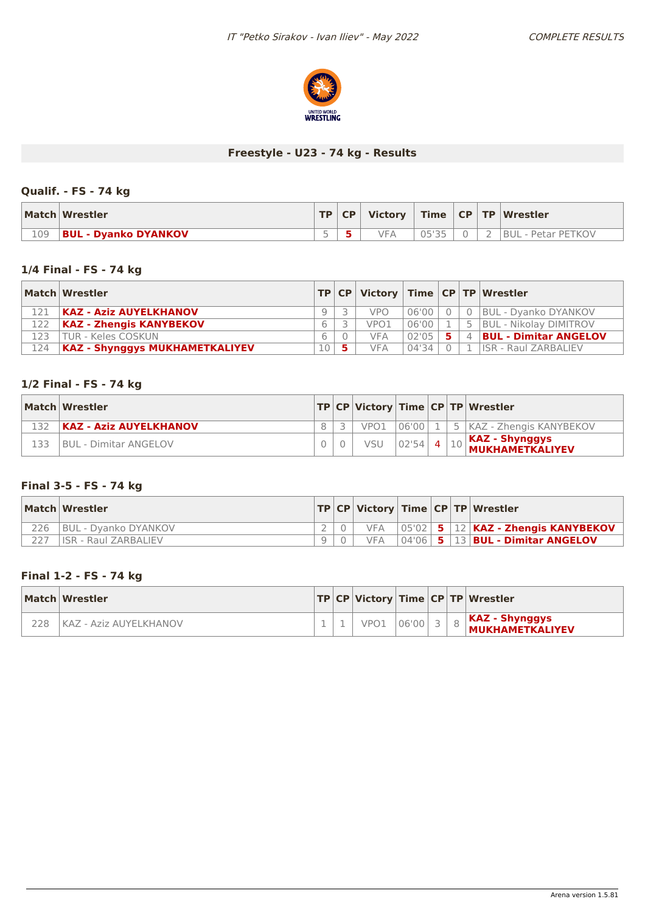

# **Freestyle - U23 - 74 kg - Results**

# **Qualif. - FS - 74 kg**

|     | Match Wrestler              |        | TP   CP | <b>Victory</b> |           |  | Time   CP   TP   Wrestler |
|-----|-----------------------------|--------|---------|----------------|-----------|--|---------------------------|
| 109 | <b>BUL - Dyanko DYANKOV</b> | $\sim$ |         | VFA            | $\bigcap$ |  | BUL - Petar PETKOV        |

### **1/4 Final - FS - 74 kg**

|     | Match Wrestler                        |      |            |       |                | $ TP CP $ Victory $ Time CP TP $ Wrestler |
|-----|---------------------------------------|------|------------|-------|----------------|-------------------------------------------|
|     | <b>KAZ - Aziz AUYELKHANOV</b>         |      | <b>VPO</b> | 06'00 |                | 0 BUL - Dvanko DYANKOV                    |
| 122 | <b>KAZ - Zhengis KANYBEKOV</b>        |      | VPO1       | 06'00 | -5             | <b>BUL - Nikolay DIMITROV</b>             |
| 123 | TUR - Keles COSKUN                    |      | <b>VFA</b> | 02'05 | $\overline{4}$ | <b>BUL - Dimitar ANGELOV</b>              |
| 124 | <b>KAZ - Shynggys MUKHAMETKALIYEV</b> | 10 I | <b>VFA</b> | 04'34 |                | <b>ISR - Raul ZARBALIEV</b>               |

### **1/2 Final - FS - 74 kg**

|     | Match Wrestler                |  |     |             |  | TP CP Victory Time CP TP Wrestler                                                                                                                     |
|-----|-------------------------------|--|-----|-------------|--|-------------------------------------------------------------------------------------------------------------------------------------------------------|
|     | <b>KAZ - Aziz AUYELKHANOV</b> |  |     |             |  | VPO1 06'00   1   5   KAZ - Zhengis KANYBEKOV                                                                                                          |
| 133 | <b>BUL - Dimitar ANGELOV</b>  |  | VSU | $ 02'54 $ 4 |  | $\left  \begin{smallmatrix} 10 \end{smallmatrix} \right $ KAZ - Shynggys<br>$\left  \begin{smallmatrix} 10 \end{smallmatrix} \right $ MUKHAMETKALIYEV |

# **Final 3-5 - FS - 74 kg**

|     | Match Wrestler              |  |            |  | TP   CP   Victory   Time   CP   TP   Wrestler      |
|-----|-----------------------------|--|------------|--|----------------------------------------------------|
| 226 | BUL - Dyanko DYANKOV        |  | <b>VFA</b> |  | $ 05'02 $ 5 $ 12 $ KAZ - Zhengis KANYBEKOV         |
|     | <b>ISR - Raul ZARBALIEV</b> |  | <b>VFA</b> |  | $\sqrt{04'06}$ 5 $\sqrt{13}$ BUL - Dimitar ANGELOV |

### **Final 1-2 - FS - 74 kg**

|                | Match Wrestler         |  |      |       |  | TP CP Victory Time CP TP Wrestler        |
|----------------|------------------------|--|------|-------|--|------------------------------------------|
| <sup>228</sup> | KAZ - Aziz AUYELKHANOV |  | VPO1 | 06'00 |  | KAZ - Shynggys<br><b>MUKHAMETKALIYEV</b> |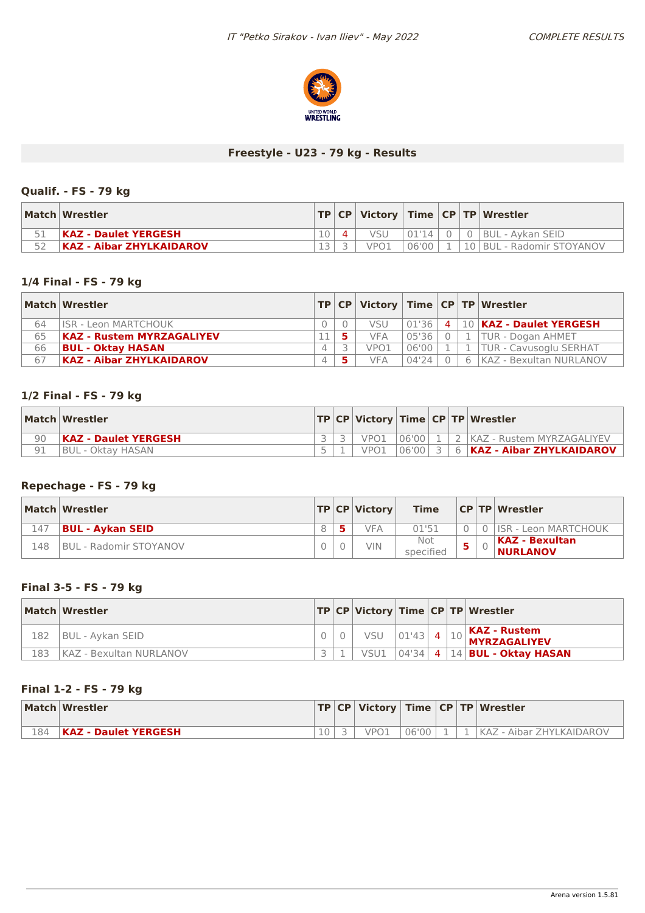

### **Freestyle - U23 - 79 kg - Results**

# **Qualif. - FS - 79 kg**

| Match Wrestler                  |  |                  |         |  | $ TP CP $ Victory $ Time CP TP $ Wrestler |
|---------------------------------|--|------------------|---------|--|-------------------------------------------|
| KAZ - Daulet YERGESH            |  | VSU              | .01'14' |  | 0 BUL - Aykan SEID                        |
| <b>KAZ - Aibar ZHYLKAIDAROV</b> |  | VPO <sub>1</sub> | 06'00   |  | 10   BUL - Radomir STOYANOV               |

### **1/4 Final - FS - 79 kg**

|    | Match Wrestler                   |  |            |       |        | $ TP CP $ Victory $ Time CP TP $ Wrestler    |
|----|----------------------------------|--|------------|-------|--------|----------------------------------------------|
| 64 | <b>ISR - Leon MARTCHOUK</b>      |  | <b>VSU</b> |       |        | 01'36   4   10   <b>KAZ - Daulet YERGESH</b> |
| 65 | <b>KAZ - Rustem MYRZAGALIYEV</b> |  | <b>VFA</b> | 05'36 | $\cap$ | 1   TUR - Dogan AHMET                        |
| 66 | <b>BUL - Oktay HASAN</b>         |  | VPO1       | 06'00 |        | L TUR - Cavusoglu SERHAT                     |
| 67 | <b>KAZ - Aibar ZHYLKAIDAROV</b>  |  | <b>VFA</b> | 04'24 |        | 6 KAZ - Bexultan NURLANOV                    |

#### **1/2 Final - FS - 79 kg**

|    | Match Wrestler              |  |      |  | TP CP Victory Time CP TP Wrestler          |
|----|-----------------------------|--|------|--|--------------------------------------------|
| 90 | <b>KAZ - Daulet YERGESH</b> |  | VPO1 |  | 106'00   1   2   KAZ - Rustem MYRZAGALIYEV |
|    | BUL - Oktav HASAN           |  | VPO1 |  | $ 06'00 $ 3   6   KAZ - Aibar ZHYLKAIDAROV |

# **Repechage - FS - 79 kg**

|     | Match Wrestler          |  | TP CP Victory | <b>Time</b>      |  | CP TP Wrestler                           |
|-----|-------------------------|--|---------------|------------------|--|------------------------------------------|
| 147 | <b>BUL - Aykan SEID</b> |  | VFA           | 01'51            |  | 0 ISR - Leon MARTCHOUK                   |
| 148 | BUL - Radomir STOYANOV  |  | VIN.          | Not<br>specified |  | <b>KAZ - Bexultan</b><br><b>NURLANOV</b> |

### **Final 3-5 - FS - 79 kg**

|     | Match Wrestler                 |  |      |  | TP CP Victory Time CP TP Wrestler                                                 |
|-----|--------------------------------|--|------|--|-----------------------------------------------------------------------------------|
| 182 | BUL - Aykan SEID               |  |      |  | $\vert_{\mathrm{10}}$ KAZ - Rustem<br>$\sim$   VSU 01'43 4 10 <b>MYRZAGALIYEV</b> |
| 183 | <b>KAZ - Bexultan NURLANOV</b> |  | VSU1 |  | $\sqrt{10434}$   4   14   BUL - Oktay HASAN                                       |

### **Final 1-2 - FS - 79 kg**

|     | Match Wrestler       |                 |      |       |  | TP   CP   Victory   Time   CP   TP   Wrestler |
|-----|----------------------|-----------------|------|-------|--|-----------------------------------------------|
| 184 | KAZ - Daulet YERGESH | 10 <sup>1</sup> | VPO1 | 06'00 |  | KAZ <sup>1</sup><br>. - Aibar ZHYLKAIDAROV    |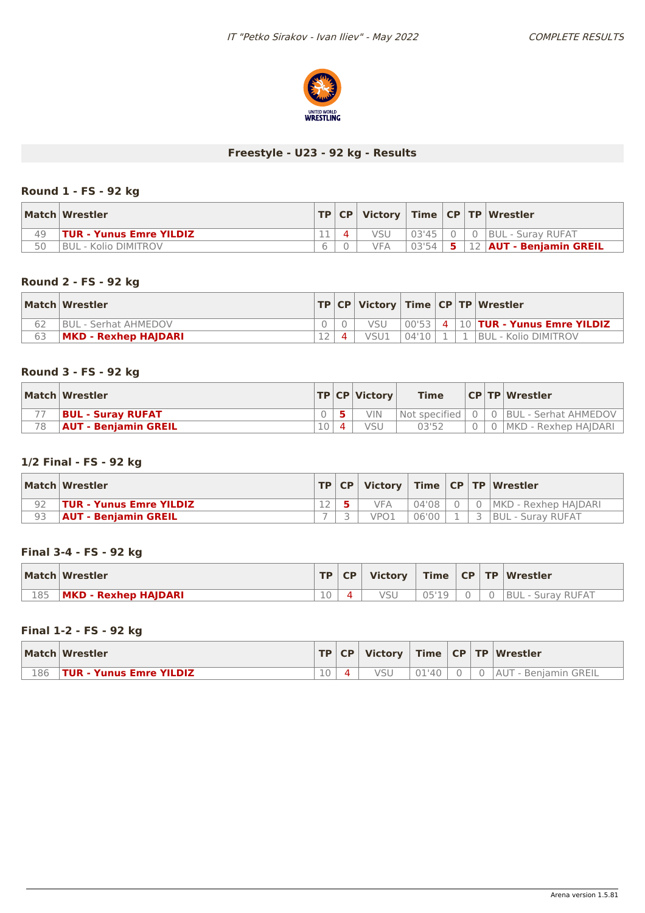

### **Freestyle - U23 - 92 kg - Results**

### **Round 1 - FS - 92 kg**

|    | Match Wrestler                 | TP CP |     |         |          | Victory   Time   CP   TP   Wrestler |
|----|--------------------------------|-------|-----|---------|----------|-------------------------------------|
| 49 | <b>TUR - Yunus Emre YILDIZ</b> |       |     | 03'451  | $\Omega$ | <b>BUL - Suray RUFAT</b>            |
| 50 | BUL - Kolio DIMITROV           |       | VFA | $03'54$ | 5.       | 12   AUT - Benjamin GREIL           |

### **Round 2 - FS - 92 kg**

|    | Match Wrestler              |  |      |       |  | TP   CP   Victory   Time   CP   TP   Wrestler |
|----|-----------------------------|--|------|-------|--|-----------------------------------------------|
|    | <b>BUL - Serhat AHMEDOV</b> |  | VSU  |       |  | $ 00'53 $ 4 $ 10 $ TUR - Yunus Emre YILDIZ    |
| 63 | <b>MKD - Rexhep HAJDARI</b> |  | VSU1 | 04'10 |  | <b>BUL - Kolio DIMITROV</b>                   |

### **Round 3 - FS - 92 kg**

|    | Match Wrestler              |  | $ TP CP $ Victory | <b>Time</b>       |  | <b>CPTPWrestler</b>            |
|----|-----------------------------|--|-------------------|-------------------|--|--------------------------------|
|    | <b>BUL - Suray RUFAT</b>    |  | VIN               | Not specified   0 |  | l 0  BUL - Serhat AHMEDOV      |
| 78 | <b>AUT - Beniamin GREIL</b> |  | VSU               | 03'52             |  | .   0   MKD -  Rexhep  HAIDARI |

# **1/2 Final - FS - 92 kg**

|    | Match Wrestler                 | TP CP |                  |       |  | Victory   Time   CP   TP   Wrestler |
|----|--------------------------------|-------|------------------|-------|--|-------------------------------------|
|    | <b>TUR - Yunus Emre YILDIZ</b> |       | <b>VFA</b>       | 04'08 |  | MKD - Rexhep HAIDARI                |
| 93 | <b>AUT - Beniamin GREIL</b>    |       | VPO <sub>1</sub> | 06'00 |  | <b>BUL - Suray RUFAT</b>            |

#### **Final 3-4 - FS - 92 kg**

|     | Match Wrestler       | TP | <b>CP</b> | <b>Victory</b> |  | Time   CP   TP   Wrestler |
|-----|----------------------|----|-----------|----------------|--|---------------------------|
| 185 | MKD - Rexhep HAJDARI | 10 |           |                |  | BUL - Surav RUFAT         |

### **Final 1-2 - FS - 92 kg**

|     | Match Wrestler           |        | TP CP |            |     |  | Victory   Time   CP   TP   Wrestler |
|-----|--------------------------|--------|-------|------------|-----|--|-------------------------------------|
| 186 | ⊦TUR - Yunus Emre YILDIZ | $10 -$ |       | <b>VSL</b> | 140 |  | <b>AUT</b><br>- Benjamin GREIL      |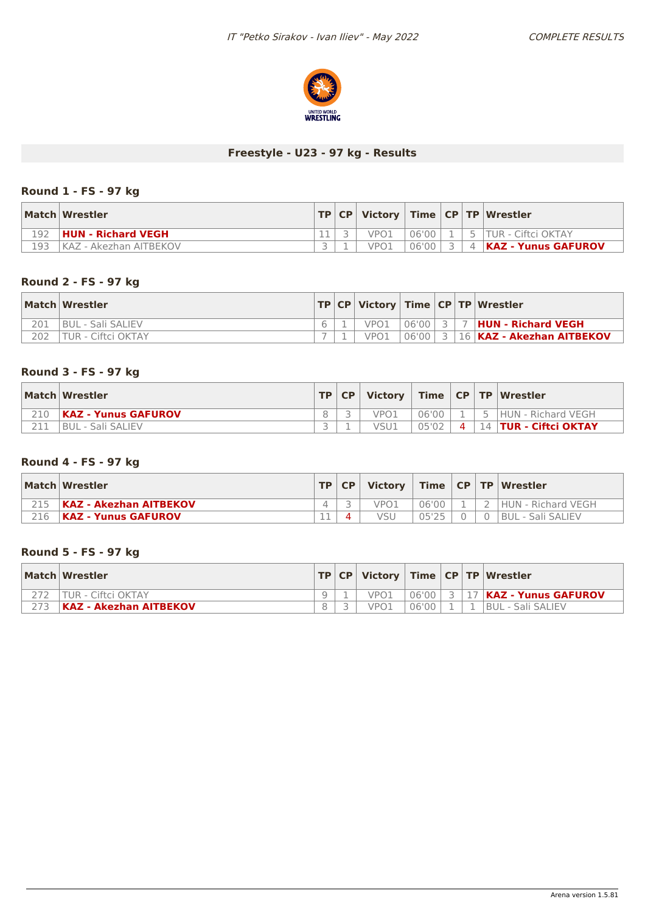

# **Freestyle - U23 - 97 kg - Results**

### **Round 1 - FS - 97 kg**

|     | Match Wrestler         |  |                  |           |  | $\mid$ TP $\mid$ CP $\mid$ Victory $\mid$ Time $\mid$ CP $\mid$ TP $\mid$ Wrestler $\mid$ |
|-----|------------------------|--|------------------|-----------|--|-------------------------------------------------------------------------------------------|
| L92 | HUN - Richard VEGH     |  | VPO <sub>1</sub> | 06'00     |  | 5 TUR - Ciftci OKTAY                                                                      |
| 193 | KAZ - Akezhan AITBEKOV |  | VPO1             | $06'00$ , |  | 4   <b>KAZ - Yunus GAFUROV</b>                                                            |

### **Round 2 - FS - 97 kg**

|     | Match Wrestler           |  |      |  | $ TP CP $ Victory $ Time CP TP $ Wrestler |
|-----|--------------------------|--|------|--|-------------------------------------------|
| 201 | <b>BUL - Sali SALIEV</b> |  | VPO1 |  |                                           |
| 202 | 'TUR - Ciftci OKTAY      |  |      |  | 106'00 3 16 KAZ - Akezhan AITBEKOV        |

### **Round 3 - FS - 97 kg**

| Match Wrestler             | TP CP |      |       |                |     | Victory   Time   CP   TP   Wrestler |
|----------------------------|-------|------|-------|----------------|-----|-------------------------------------|
| <b>KAZ - Yunus GAFUROV</b> |       | VPO. | 06'00 |                | - 5 | HUN - Richard VEGH                  |
| BUL - Sali SALIEV          |       |      | 05'02 | $\overline{4}$ |     | 14   TUR - Ciftci OKTAY             |

# **Round 4 - FS - 97 kg**

|     | Match Wrestler                | <b>TP</b> | CP | Victory          |       |  | Time   CP   TP   Wrestler |
|-----|-------------------------------|-----------|----|------------------|-------|--|---------------------------|
|     | <b>KAZ - Akezhan AITBEKOV</b> |           |    | VPO <sub>1</sub> | 06'00 |  | <b>HUN - Richard VEGH</b> |
| 216 | <b>KAZ - Yunus GAFUROV</b>    | . п.      |    | VSL              | ハトワト  |  | BUL - Sali SALIEV         |

### **Round 5 - FS - 97 kg**

| Match Wrestler                |  |      |       |  | TP   CP   Victory   Time   CP   TP   Wrestler |
|-------------------------------|--|------|-------|--|-----------------------------------------------|
| <b>TUR - Ciftci OKTAY</b>     |  | VPO1 | 06'00 |  | <b>3 17 KAZ - Yunus GAFUROV</b>               |
| <b>KAZ - Akezhan AITBEKOV</b> |  | VPO1 | 06'00 |  | <b>BUL - Sali SALIEV</b>                      |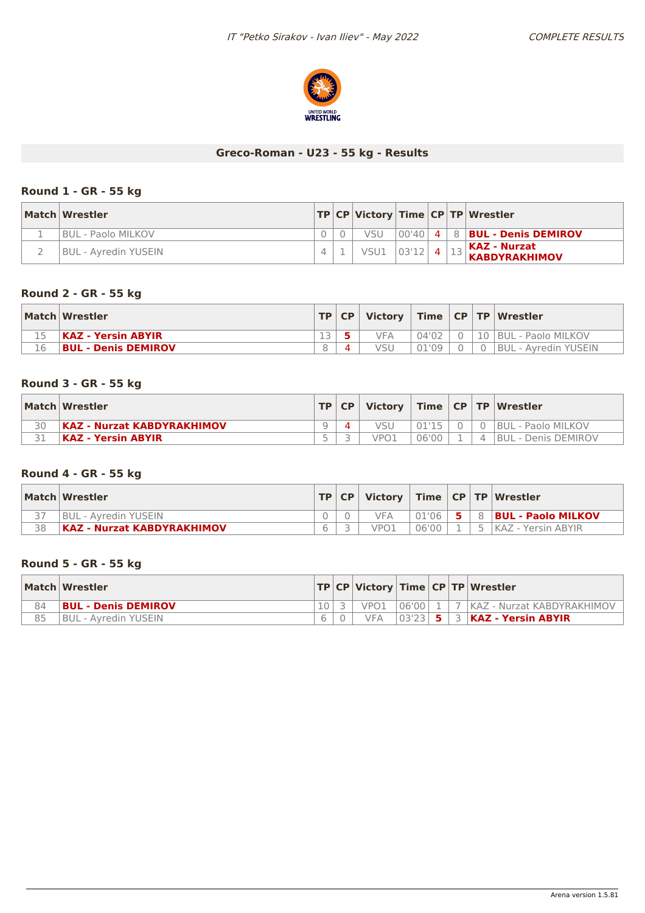

# **Greco-Roman - U23 - 55 kg - Results**

### **Round 1 - GR - 55 kg**

| Match Wrestler       |  |                |  | TP CP Victory Time CP TP Wrestler                                  |
|----------------------|--|----------------|--|--------------------------------------------------------------------|
| I BUL - Paolo MILKOV |  | vsu            |  | $ 00'40 $ 4   8   BUL - Denis DEMIROV                              |
| BUL - Avredin YUSEIN |  | $VSU1$ 03'12 4 |  | $\mathbb{R}$   KAZ - Nurzat<br>$\vert$ <sup>13</sup> KABDYRAKHIMOV |

### **Round 2 - GR - 55 kg**

|    | Match Wrestler            |                          | TP   CP |     |       |  | Victory   Time   CP   TP   Wrestler |
|----|---------------------------|--------------------------|---------|-----|-------|--|-------------------------------------|
|    | <b>KAZ - Yersin ABYIR</b> | $\overline{\phantom{1}}$ |         | VFA | 04'02 |  | 10 BUL - Paolo MILKOV               |
| 16 | BUL - Denis DEMIROV       | 8                        |         | vsl |       |  | <b>BUL - Avredin YUSEIN</b>         |

### **Round 3 - GR - 55 kg**

|    | Match Wrestler                    | <b>TP</b> | C P |      |       |          | Victory   Time   CP   TP   Wrestler |
|----|-----------------------------------|-----------|-----|------|-------|----------|-------------------------------------|
| 30 | <b>KAZ - Nurzat KABDYRAKHIMOV</b> |           |     |      | 0115  |          | <b>BUL - Paolo MILKOV</b>           |
|    | KAZ - Yersin ABYIR                | $\sim$    |     | VPO1 | 06'00 | $\Delta$ | <b>IBUL - Denis DEMIROV</b>         |

# **Round 4 - GR - 55 kg**

|    | Match Wrestler             | TP   CP | Victory |       |  | Time   CP   TP   Wrestler |
|----|----------------------------|---------|---------|-------|--|---------------------------|
|    | BUL - Avredin YUSEIN       |         | VFA     | 01'06 |  | <b>BUL - Paolo MILKOV</b> |
| 38 | KAZ - Nurzat KABDYRAKHIMOV |         | VPO.    | 06'00 |  | KAZ - Yersin ABYIR        |

### **Round 5 - GR - 55 kg**

|    | Match Wrestler              |  |      |         |  | TP CP Victory Time CP TP Wrestler    |
|----|-----------------------------|--|------|---------|--|--------------------------------------|
| 84 | <b>BUL - Denis DEMIROV</b>  |  | VPO1 | 106'001 |  | 7   KAZ - Nurzat KABDYRAKHIMOV       |
| 85 | <b>BUL - Avredin YUSEIN</b> |  |      |         |  | $ 03'23 $ 5 $ 3 $ KAZ - Yersin ABYIR |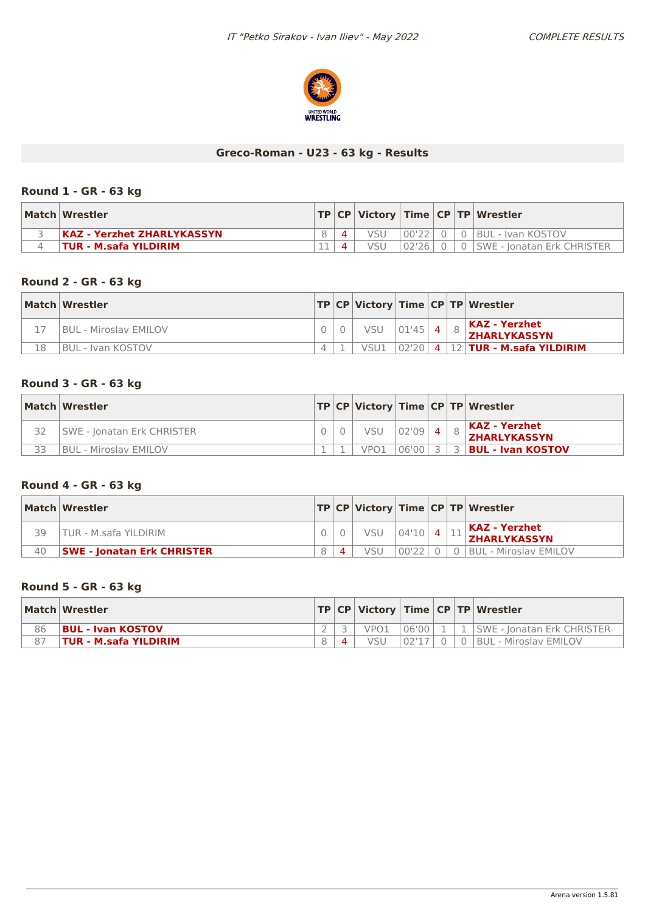

# **Greco-Roman - U23 - 63 kg - Results**

### **Round 1 - GR - 63 kg**

| Match Wrestler                    |  |     |       |  | TP   CP   Victory   Time   CP   TP   Wrestler |
|-----------------------------------|--|-----|-------|--|-----------------------------------------------|
| <b>KAZ - Yerzhet ZHARLYKASSYN</b> |  |     | 00'22 |  | 0 BUL - Ivan KOSTOV                           |
| <b>TUR - M.safa YILDIRIM</b>      |  | vsu | 02'26 |  | ISWE - Ionatan Erk CHRISTER                   |

### **Round 2 - GR - 63 kg**

|    | Match Wrestler               |  |                 |  | TP CP Victory Time CP TP Wrestler                |
|----|------------------------------|--|-----------------|--|--------------------------------------------------|
|    | <b>BUL - Miroslav EMILOV</b> |  | VSU $ 01'45 $ 4 |  | $\vert$ KAZ - Yerzhet<br><b>ZHARLYKASSYN</b>     |
| 18 | <b>IBUL - Ivan KOSTOV</b>    |  |                 |  | VSU1  02'20  4  12  <b>TUR - M.safa YILDIRIM</b> |

### **Round 3 - GR - 63 kg**

| Match Wrestler                    |  |             |       |  | TP CP Victory Time CP TP Wrestler           |
|-----------------------------------|--|-------------|-------|--|---------------------------------------------|
| <b>SWE - Jonatan Erk CHRISTER</b> |  | VSU 02'09 4 |       |  | <b>KAZ - Yerzhet</b><br><b>ZHARLYKASSYN</b> |
| <b>BUL - Miroslav EMILOV</b>      |  | VPO1        | 06'00 |  | <b>BUL - Ivan KOSTOV</b>                    |

### **Round 4 - GR - 63 kg**

|    | Match Wrestler                    |  |                 |       |  | TP CP Victory Time CP TP Wrestler           |
|----|-----------------------------------|--|-----------------|-------|--|---------------------------------------------|
| 39 | TUR - M.safa YILDIRIM             |  | VSU $ 04'10 $ 4 |       |  | $\sim$ KAZ - Yerzhet<br><b>ZHARLYKASSYN</b> |
| 40 | <b>SWE - Jonatan Erk CHRISTER</b> |  |                 | 00'22 |  | BUL - Miroslav EMILOV                       |

#### **Round 5 - GR - 63 kg**

|    | Match Wrestler           |  |      |        |  | TP   CP   Victory   Time   CP   TP   Wrestler |
|----|--------------------------|--|------|--------|--|-----------------------------------------------|
| 86 | <b>BUL - Ivan KOSTOV</b> |  | VPO1 | 06'00  |  | ISWE - Ionatan Erk CHRISTER                   |
|    | TUR - M.safa YILDIRIM    |  | VSU  | 02'17' |  | 0 BUL - Miroslav EMILOV                       |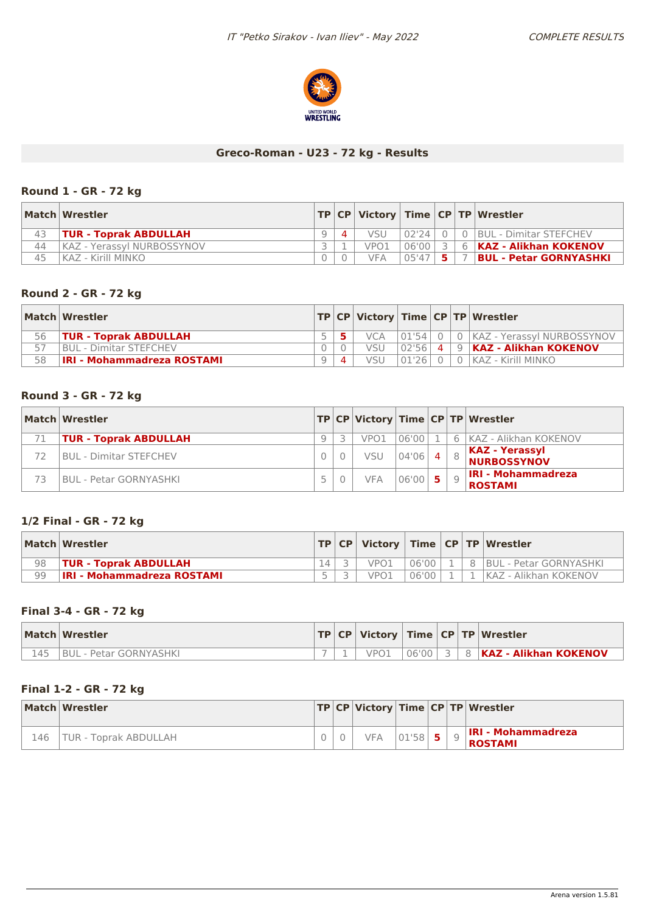

### **Greco-Roman - U23 - 72 kg - Results**

### **Round 1 - GR - 72 kg**

|    | Match Wrestler               |  |                  |       |           | TP   CP   Victory   Time   CP   TP   Wrestler |
|----|------------------------------|--|------------------|-------|-----------|-----------------------------------------------|
| 43 | <b>TUR - Toprak ABDULLAH</b> |  | <b>VSU</b>       | 02'24 | $\bigcap$ | 0 BUL - Dimitar STEFCHEV                      |
| 44 | KAZ - Yerassy  NURBOSSYNOV   |  | VPO <sub>1</sub> | 06'00 |           | 6 KAZ - Alikhan KOKENOV                       |
| 45 | ! KAZ - Kirill MINKO         |  | <b>VFA</b>       | 05'47 |           | , 7 <b>BUL - Petar GORNYASHKI</b>             |

### **Round 2 - GR - 72 kg**

|    | Match Wrestler                    |  |            |       |          | TP   CP   Victory   Time   CP   TP   Wrestler |
|----|-----------------------------------|--|------------|-------|----------|-----------------------------------------------|
| 56 | <b>TUR - Toprak ABDULLAH</b>      |  | <b>VCA</b> |       |          | 01'54  0   0   KAZ - Yerassyl NURBOSSYNOV     |
|    | <b>IBUL - Dimitar STEFCHEV</b>    |  | VSU        | 02'56 | $\Delta$ | 9 KAZ - Alikhan KOKENOV                       |
| 58 | <b>IRI - Mohammadreza ROSTAMI</b> |  | VSU        | 01'26 |          | KAZ - Kirill MINKO                            |

#### **Round 3 - GR - 72 kg**

| Match Wrestler                 |   |            |           |  | TP CP   Victory   Time   CP   TP   Wrestler |
|--------------------------------|---|------------|-----------|--|---------------------------------------------|
| <b>TUR - Toprak ABDULLAH</b>   | a | VPO1       | 06'00     |  | 6 KAZ - Alikhan KOKENOV                     |
| <b>BUL - Dimitar STEFCHEV</b>  |   | VSU        | 04'06     |  | $8$ KAZ - Yerassyl<br><b>NURBOSSYNOV</b>    |
| <b>IBUL - Petar GORNYASHKI</b> |   | <b>VFA</b> | $06'00$ 5 |  | <b>IRI - Mohammadreza</b><br><b>ROSTAMI</b> |

### **1/2 Final - GR - 72 kg**

|    | Match   Wrestler                  |  |      |       |  | TP   CP   Victory   Time   CP   TP   Wrestler |
|----|-----------------------------------|--|------|-------|--|-----------------------------------------------|
| 98 | <b>TUR - Toprak ABDULLAH</b>      |  | VPO1 | 06'00 |  | <b>IBUL - Petar GORNYASHKI</b>                |
| 99 | <b>IRI - Mohammadreza ROSTAMI</b> |  | VPO1 | 06'00 |  | KAZ - Alikhan KOKENOV                         |

### **Final 3-4 - GR - 72 kg**

|     | Match Wrestler                 |  |      |  | $ TP CP $ Victory $ Time CP TP $ Wrestler |
|-----|--------------------------------|--|------|--|-------------------------------------------|
| 145 | <b>IBUL - Petar GORNYASHKI</b> |  | VPO1 |  |                                           |

### **Final 1-2 - GR - 72 kg**

|     | Match Wrestler        |  |            |       |    | TP   CP   Victory   Time   CP   TP   Wrestler |
|-----|-----------------------|--|------------|-------|----|-----------------------------------------------|
| 146 | TUR - Toprak ABDULLAH |  | <b>VFA</b> | 01'58 | 5. | <b>IRI - Mohammadreza</b><br><b>ROSTAMI</b>   |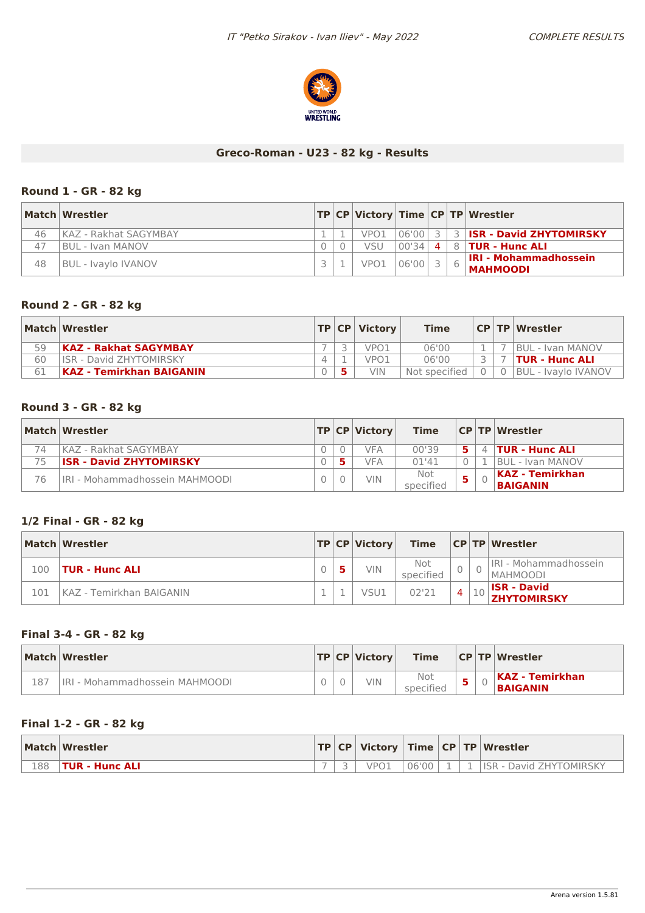

### **Greco-Roman - U23 - 82 kg - Results**

### **Round 1 - GR - 82 kg**

|    | Match Wrestler             |  |                  |       |   | TP CP Victory Time CP TP Wrestler               |
|----|----------------------------|--|------------------|-------|---|-------------------------------------------------|
| 46 | KAZ - Rakhat SAGYMBAY      |  | VPO1             | 06'00 |   | <b>ISR - David ZHYTOMIRSKY</b>                  |
| 47 | IBUL - Ivan MANOV          |  | VSU              | 00'34 | 4 | 8 <b>TUR - Hunc ALI</b>                         |
| 48 | <b>BUL - Ivaylo IVANOV</b> |  | VPO <sub>1</sub> | 06'00 |   | <b>IRI - Mohammadhossein</b><br><b>MAHMOODI</b> |

### **Round 2 - GR - 82 kg**

|    | Match Wrestler                  |  | $ TP CP $ Victory | <b>Time</b>   |  | CP   TP   Wrestler         |
|----|---------------------------------|--|-------------------|---------------|--|----------------------------|
| 59 | <b>KAZ - Rakhat SAGYMBAY</b>    |  | vpo1              | 06'00         |  | <b>IBUL - Ivan MANOV</b>   |
| 60 | <b>IISR - David ZHYTOMIRSKY</b> |  | VPO <sub>1</sub>  | 06'00         |  | TUR - Hunc ALI             |
| 61 | KAZ - Temirkhan BAIGANIN        |  | VIN.              | Not specified |  | <b>BUL - Ivaylo IVANOV</b> |

### **Round 3 - GR - 82 kg**

|    | Match Wrestler                        |  | <b>TP CP Victory</b> | Time             |    |         | CP TP Wrestler                      |
|----|---------------------------------------|--|----------------------|------------------|----|---------|-------------------------------------|
| 74 | IKAZ - Rakhat SAGYMBAY                |  | VFA                  | 00'39            |    | $\perp$ | <b>TUR - Hunc ALI</b>               |
| 75 | <b>ISR - David ZHYTOMIRSKY</b>        |  | <b>VFA</b>           | 01'41            |    |         | <b>BUL - Ivan MANOV</b>             |
| 76 | <b>IRI - Mohammadhossein MAHMOODI</b> |  | VIN.                 | Not<br>specified | 5. |         | KAZ - Temirkhan <br><b>BAIGANIN</b> |

### **1/2 Final - GR - 82 kg**

|     | Match Wrestler           |  | TP CP Victory | <b>Time</b>      |   |   | <b>CPTP Wrestler</b>                      |
|-----|--------------------------|--|---------------|------------------|---|---|-------------------------------------------|
| 100 | TUR - Hunc ALI           |  | VIN           | Not<br>specified | U |   | IRI - Mohammadhossein<br><b>IMAHMOODI</b> |
| 101 | KAZ - Temirkhan BAIGANIN |  | VSU1          | 02'21            | 4 | ᅩ | <b>ISR - David</b><br><b>ZHYTOMIRSKY</b>  |

### **Final 3-4 - GR - 82 kg**

|     | Match Wrestler                        |  | <b>TP CP Victory</b> | <b>Time</b>      |     | CP TP Wrestler                     |
|-----|---------------------------------------|--|----------------------|------------------|-----|------------------------------------|
| 187 | <b>IRI - Mohammadhossein MAHMOODI</b> |  | VIN                  | Not<br>specified | . . | KAZ - Temirkhan<br><b>BAIGANIN</b> |

### **Final 1-2 - GR - 82 kg**

|     | Match Wrestler |        |                  |       |  | $ TP CP $ Victory $ Time CP TP $ Wrestler |
|-----|----------------|--------|------------------|-------|--|-------------------------------------------|
| 188 | TUR - Hunc ALI | $\sim$ | VPO <sup>2</sup> | 06'00 |  | <b>ISR</b><br>David ZHYTOMIRSKY           |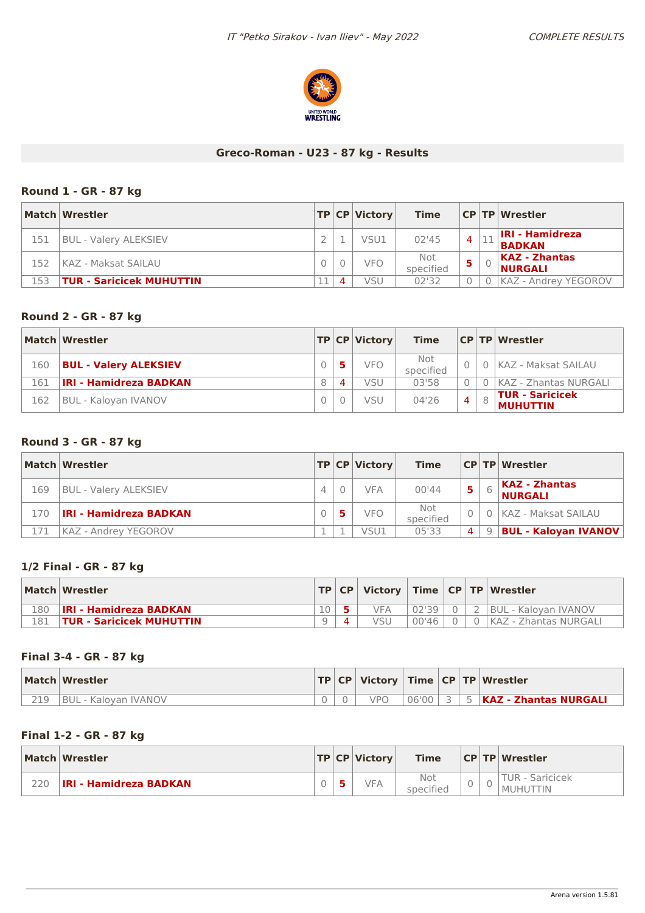

### **Greco-Roman - U23 - 87 kg - Results**

### **Round 1 - GR - 87 kg**

|     | Match Wrestler                  |  | TP CP Victory | <b>Time</b>      |   | <b>CPTP Wrestler</b>                    |
|-----|---------------------------------|--|---------------|------------------|---|-----------------------------------------|
| 151 | <b>BUL - Valery ALEKSIEV</b>    |  | VSU1          | 02'45            | 4 | <b>IRI - Hamidreza</b><br><b>BADKAN</b> |
| 152 | KAZ - Maksat SAILAU             |  | <b>VFO</b>    | Not<br>specified |   | <b>KAZ - Zhantas</b><br><b>NURGALI</b>  |
| 153 | <b>TUR - Saricicek MUHUTTIN</b> |  | VSU           | 02'32            |   | <b>KAZ - Andrey YEGOROV</b>             |

### **Round 2 - GR - 87 kg**

|     | Match Wrestler                |   |           | $ TP CP $ Victory | <b>Time</b>      |                | <b>CP TP Wrestler</b>                              |
|-----|-------------------------------|---|-----------|-------------------|------------------|----------------|----------------------------------------------------|
| 160 | <b>BUL - Valery ALEKSIEV</b>  |   |           | <b>VFO</b>        | Not<br>specified |                | 0 KAZ - Maksat SAILAU                              |
| 161 | <b>IRI - Hamidreza BADKAN</b> | 8 | $\Lambda$ | VSU               | 03'58            |                | KAZ - Zhantas NURGALI                              |
| 162 | BUL - Kaloyan IVANOV          |   |           | VSU               | 04'26            | $\overline{4}$ | $\sf I\mathsf{TUR}$ - Saricicek<br><b>MUHUTTIN</b> |

### **Round 3 - GR - 87 kg**

|     | Match Wrestler                |  | TP CP Victory | <b>Time</b>      |                | <b>CP TP Wrestler</b>                  |
|-----|-------------------------------|--|---------------|------------------|----------------|----------------------------------------|
| 169 | <b>BUL - Valery ALEKSIEV</b>  |  | <b>VFA</b>    | 00'44            | 5              | <b>KAZ - Zhantas</b><br><b>NURGALI</b> |
| 170 | <b>IRI - Hamidreza BADKAN</b> |  | <b>VFO</b>    | Not<br>specified |                | 0   KAZ - Maksat SAILAU                |
|     | KAZ - Andrey YEGOROV          |  | VSU1          | 05'33            | $\overline{a}$ | 9   BUL - Kaloyan IVANOV               |

### **1/2 Final - GR - 87 kg**

|     | Match Wrestler                |    | TP CP |     |       |  | Victory   Time   CP   TP   Wrestler |
|-----|-------------------------------|----|-------|-----|-------|--|-------------------------------------|
| 180 | <b>IRI - Hamidreza BADKAN</b> | 10 |       | VFΔ | 02'39 |  | BUL - Kalovan IVANOV                |
| 181 | TUR - Saricicek MUHUTTIN      |    |       |     | 00'46 |  | l KAZ - Zhantas NURGALI             |

#### **Final 3-4 - GR - 87 kg**

|     | Match Wrestler       |  |     |       |           | $ TP CP $ Victory $ Time CP TP $ Wrestler |
|-----|----------------------|--|-----|-------|-----------|-------------------------------------------|
| 219 | BUL - Kalovan IVANOV |  | VPO | 06'00 | $\supset$ | <b>KAZ - Zhantas NURGALI</b>              |

#### **Final 1-2 - GR - 87 kg**

|     | Match Wrestler                |  | $ {\sf TP} $ CP $ {\sf Victor}$ | <b>Time</b>      |   |        | <b>CP TP Wrestler</b>              |
|-----|-------------------------------|--|---------------------------------|------------------|---|--------|------------------------------------|
| 220 | <b>IRI - Hamidreza BADKAN</b> |  | <b>VFA</b>                      | Not<br>specified | U | $\cup$ | TUR - Saricicek<br><b>MUHUTTIN</b> |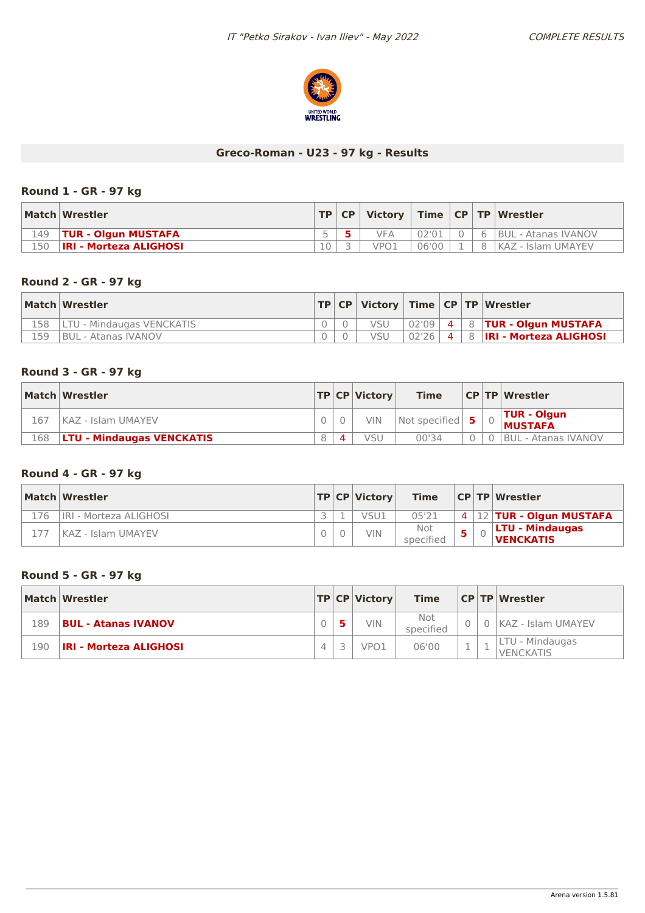

# **Greco-Roman - U23 - 97 kg - Results**

### **Round 1 - GR - 97 kg**

|     | Match Wrestler                |    | TP   CP |                  |       |   | Victory   Time   CP   TP   Wrestler |
|-----|-------------------------------|----|---------|------------------|-------|---|-------------------------------------|
| 149 | <b>TUR - Olgun MUSTAFA</b>    |    |         | <b>VFA</b>       | 02'01 | 6 | BUL - Atanas IVANOV                 |
| L50 | <b>IRI - Morteza ALIGHOSI</b> | 10 |         | VPO <sub>1</sub> | 06'00 |   | KAZ - Islam UMAYEV                  |

### **Round 2 - GR - 97 kg**

|     | Match Wrestler             |  |     |           |  | $ TP CP $ Victory $ Time CP TP $ Wrestler |
|-----|----------------------------|--|-----|-----------|--|-------------------------------------------|
| 158 | LTU - Mindaugas VENCKATIS  |  | VSU | 02'09     |  | $4 \mid 8$ TUR - Olgun MUSTAFA            |
| 159 | <b>BUL - Atanas IVANOV</b> |  | VSU | $02'26$ 4 |  | 8 <b> IRI - Morteza ALIGHOSI</b>          |

### **Round 3 - GR - 97 kg**

|     | Match Wrestler                    |  | TP CP Victorv | <b>Time</b>                   |  | <b>CPTP Wrestler</b>                 |
|-----|-----------------------------------|--|---------------|-------------------------------|--|--------------------------------------|
| 167 | KAZ - Islam UMAYEV                |  | <b>VIN</b>    | Not specified $\vert 5 \vert$ |  | <b>TUR - Olgun</b><br><b>MUSTAFA</b> |
| 168 | <b>ILTU - Mindaugas VENCKATIS</b> |  | VSU           | 00'34                         |  | BUL - Atanas IVANOV                  |

# **Round 4 - GR - 97 kg**

|     | Match Wrestler         |  | TP CP Victorv | <b>Time</b>      |  | <b>CP TP Wrestler</b>                      |
|-----|------------------------|--|---------------|------------------|--|--------------------------------------------|
| 176 | IRI - Morteza ALIGHOSI |  | VSU1          | 05'21            |  | $4$   12   TUR - Olgun MUSTAFA             |
|     | KAZ - Islam UMAYEV     |  | VIN           | Not<br>specified |  | <b>LTU - Mindaugas</b><br><b>VENCKATIS</b> |

### **Round 5 - GR - 97 kg**

|     | Match Wrestler                |  | $ TP CP $ Victory | <b>Time</b>      |          | <b>CP TP Wrestler</b>               |
|-----|-------------------------------|--|-------------------|------------------|----------|-------------------------------------|
| 189 | <b>BUL - Atanas IVANOV</b>    |  | <b>VIN</b>        | Not<br>specified |          | KAZ - Islam UMAYEV                  |
| 190 | <b>IRI - Morteza ALIGHOSI</b> |  | VPO <sub>1</sub>  | 06'00            | <b>.</b> | LTU - Mindaugas<br><b>VENCKATIS</b> |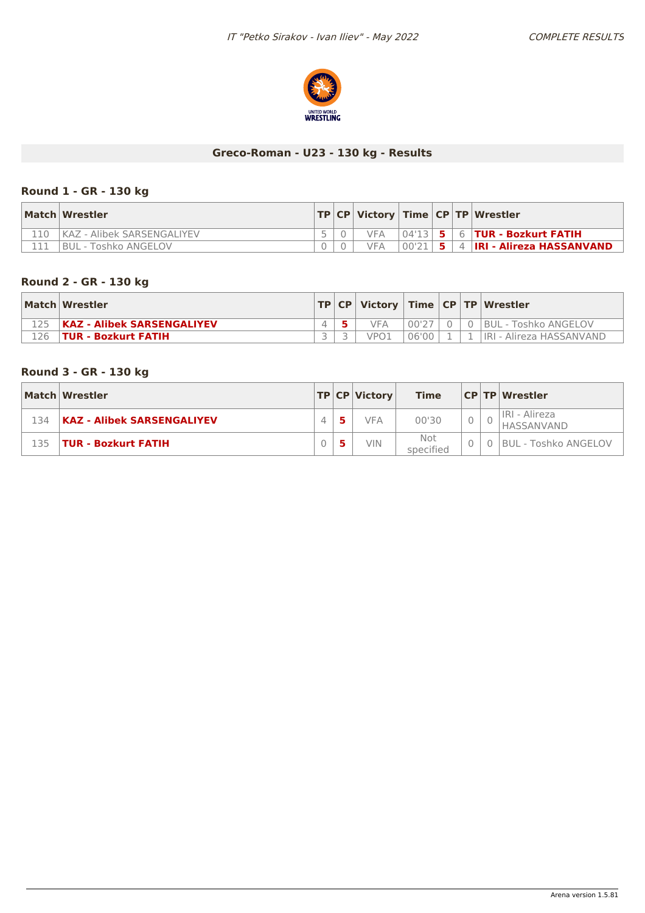

# **Greco-Roman - U23 - 130 kg - Results**

# **Round 1 - GR - 130 kg**

| Match Wrestler               |  |     |       |  | TP   CP   Victory   Time   CP   TP   Wrestler |
|------------------------------|--|-----|-------|--|-----------------------------------------------|
| KAZ - Alibek SARSENGALIYEV ، |  | VFA |       |  |                                               |
| BUL - Toshko ANGELOV         |  | VFA | 00'21 |  | 4 <b>IRI - Alireza HASSANVAND</b>             |

### **Round 2 - GR - 130 kg**

| Match Wrestler                    |  |      |         |  | TP   CP   Victory   Time   CP   TP   Wrestler |
|-----------------------------------|--|------|---------|--|-----------------------------------------------|
| <b>KAZ - Alibek SARSENGALIYEV</b> |  | VFA. | . 00'27 |  | 0 BUL - Toshko ANGELOV                        |
| <b>TUR - Bozkurt FATIH</b>        |  |      | 06'00   |  | <b>IRI - Alireza HASSANVAND</b>               |

### **Round 3 - GR - 130 kg**

|     | Match Wrestler                    |  | $ TP CP $ Victory | Time             |  | <b>CP TP Wrestler</b>       |
|-----|-----------------------------------|--|-------------------|------------------|--|-----------------------------|
| 134 | <b>KAZ - Alibek SARSENGALIYEV</b> |  | <b>VFA</b>        | 00'30            |  | IRI - Alireza<br>HASSANVAND |
| 135 | <b>TUR - Bozkurt FATIH</b>        |  | <b>VIN</b>        | Not<br>specified |  | <b>BUL - Toshko ANGELOV</b> |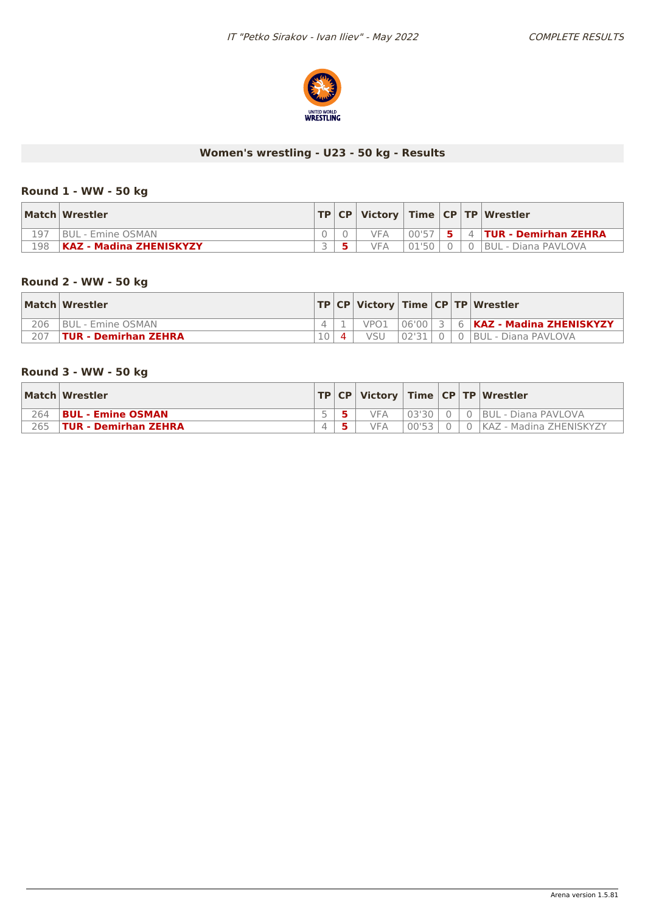

# **Women's wrestling - U23 - 50 kg - Results**

### **Round 1 - WW - 50 kg**

|     | Match Wrestler          |  |     |       |    | $ TP CP $ Victory $ Time CP TP $ Wrestler |
|-----|-------------------------|--|-----|-------|----|-------------------------------------------|
| 197 | BUL - Emine OSMAN       |  | VFA | 00'57 | 5. | 4   TUR - Demirhan ZEHRA                  |
| 198 | KAZ - Madina ZHENISKYZY |  | VFA | 01'50 |    | <b>BUL - Diana PAVLOVA</b>                |

### **Round 2 - WW - 50 kg**

|     | Match Wrestler           |  |                  |       |  | TP   CP   Victory   Time   CP   TP   Wrestler |
|-----|--------------------------|--|------------------|-------|--|-----------------------------------------------|
| 206 | <b>BUL - Emine OSMAN</b> |  | VPO <sub>1</sub> |       |  | $ 06'00 3 6 KAZ - Madina ZHENISKYZY $         |
| 207 | TUR - Demirhan ZEHRA     |  | VSU              | 02'31 |  | 0 0 BUL - Diana PAVLOVA                       |

### **Round 3 - WW - 50 kg**

|     | Match Wrestler              |  |            |       |  | TP   CP   Victory   Time   CP   TP   Wrestler |
|-----|-----------------------------|--|------------|-------|--|-----------------------------------------------|
| 264 | BUL - Emine OSMAN           |  | <b>VFA</b> | 03'30 |  | 0 BUL - Diana PAVLOVA                         |
| 265 | <b>TUR - Demirhan ZEHRA</b> |  | VFA        | 00'53 |  | 0 KAZ - Madina ZHENISKYZY                     |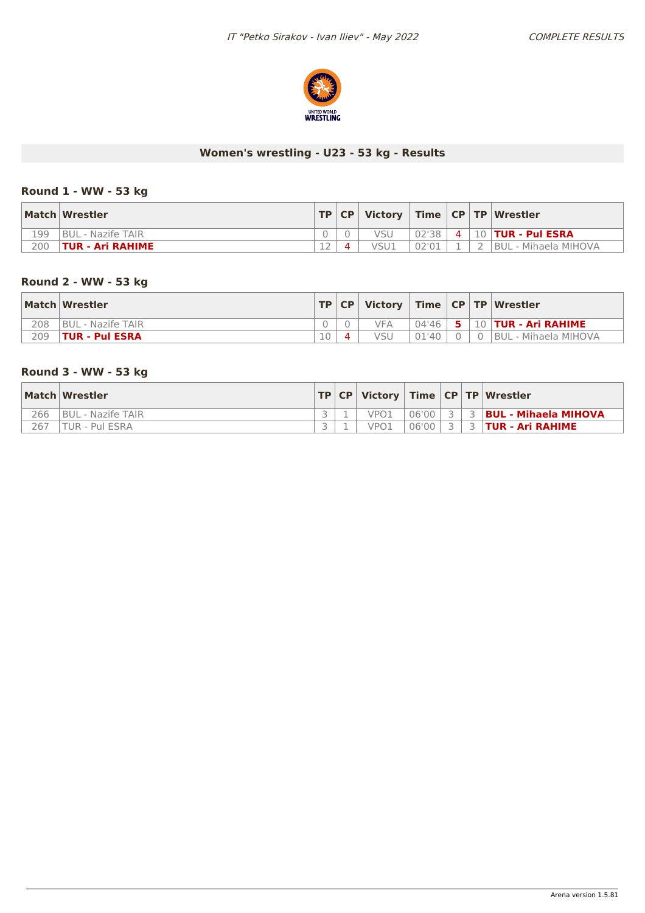

# **Women's wrestling - U23 - 53 kg - Results**

### **Round 1 - WW - 53 kg**

|     | Match Wrestler          |        |      |       |                | TP   CP   Victory   Time   CP   TP   Wrestler |
|-----|-------------------------|--------|------|-------|----------------|-----------------------------------------------|
| 199 | BUL - Nazife TAIR       |        |      | 02'38 | $\overline{4}$ | $\parallel$ 10 <b>TUR - Pul ESRA</b>          |
| 200 | <b>TUR - Ari RAHIME</b> | $\sim$ | VSU1 | 02'01 |                | BUL - Mihaela MIHOVA                          |

### **Round 2 - WW - 53 kg**

|     | Match Wrestler           |    |            |       |            | TP   CP   Victory   Time   CP   TP   Wrestler         |
|-----|--------------------------|----|------------|-------|------------|-------------------------------------------------------|
| 208 | <b>BUL - Nazife TAIR</b> |    | <b>VFA</b> |       |            | <sup>1</sup> 04'46   <b>5</b>   10   TUR - Ari RAHIME |
| 209 | <b>TUR - Pul ESRA</b>    | 10 | VSU        | 01'40 | $0 \mid 0$ | <b>BUL - Mihaela MIHOVA</b>                           |

### **Round 3 - WW - 53 kg**

|     | Match Wrestler    |  |      |       |  | TP   CP   Victory   Time   CP   TP   Wrestler |
|-----|-------------------|--|------|-------|--|-----------------------------------------------|
| 266 | BUL - Nazife TAIR |  | VPO1 | 06'00 |  | 3 <b>BUL - Mihaela MIHOVA</b>                 |
| 267 | TUR - Pul ESRA    |  | VPO1 | 06'00 |  | <b>TUR - Ari RAHIME</b>                       |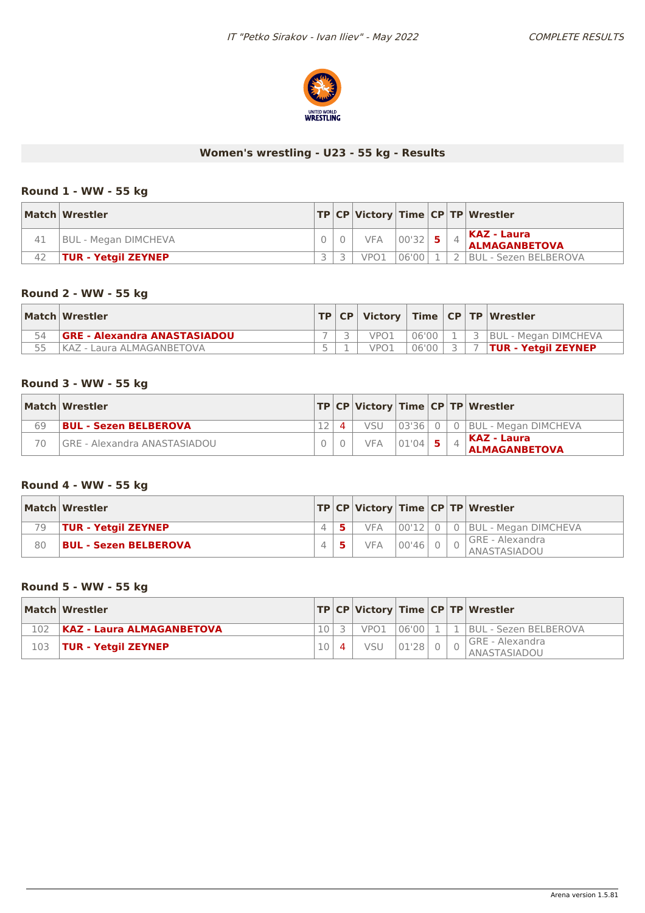

# **Women's wrestling - U23 - 55 kg - Results**

#### **Round 1 - WW - 55 kg**

|    | Match Wrestler             |  |            |             |  | TP CP Victory Time CP TP Wrestler   |
|----|----------------------------|--|------------|-------------|--|-------------------------------------|
|    | BUL - Megan DIMCHEVA       |  | <b>VFA</b> | $ 00'32 $ 5 |  | KAZ - Laura<br><b>ALMAGANBETOVA</b> |
| 42 | <b>TUR - Yetgil ZEYNEP</b> |  | VPO1       | 06'00       |  | <b>BUL - Sezen BELBEROVA</b>        |

### **Round 2 - WW - 55 kg**

|    | Match Wrestler                      |  |      |       |  | TP   CP   Victory   Time   CP   TP   Wrestler |
|----|-------------------------------------|--|------|-------|--|-----------------------------------------------|
| 54 | <b>GRE - Alexandra ANASTASIADOU</b> |  | VPO1 | 06'00 |  | 3   BUL - Megan DIMCHEVA                      |
|    | KAZ - Laura ALMAGANBETOVA           |  | VPO1 | 06'00 |  | <b>TUR - Yetgil ZEYNEP</b>                    |

#### **Round 3 - WW - 55 kg**

|    | Match Wrestler                      |  |            |       |  | TP CP Victory Time CP TP Wrestler    |
|----|-------------------------------------|--|------------|-------|--|--------------------------------------|
| 69 | BUL - Sezen BELBEROVA               |  | vsu        |       |  | 03'36   0   0   BUL - Megan DIMCHEVA |
| 70 | <b>GRE - Alexandra ANASTASIADOU</b> |  | <b>VFA</b> | 01'04 |  | KAZ - Laura<br><b>ALMAGANBETOVA</b>  |

### **Round 4 - WW - 55 kg**

|    | Match Wrestler               |  |            |       |  | TP CP Victory Time CP TP Wrestler                        |
|----|------------------------------|--|------------|-------|--|----------------------------------------------------------|
| 79 | <b>TUR - Yetgil ZEYNEP</b>   |  | <b>VFA</b> |       |  | $\vert 00'12 \vert 0 \vert 0 \vert$ BUL - Megan DIMCHEVA |
| 80 | <b>BUL - Sezen BELBEROVA</b> |  | <b>VFA</b> | 00'46 |  | GRE - Alexandra<br>ANASTASIADOU                          |

#### **Round 5 - WW - 55 kg**

| Match Wrestler                   |  |      |       |  | TP CP Victory Time CP TP Wrestler |
|----------------------------------|--|------|-------|--|-----------------------------------|
| <b>KAZ - Laura ALMAGANBETOVA</b> |  | VPO1 | 06'00 |  | ∟1∣1∣BUL - Sezen BELBEROVA        |
| 103   TUR - Yetgil ZEYNEP        |  | VSU  | 01'28 |  | I GRE - Alexandra<br>ANASTASIADOU |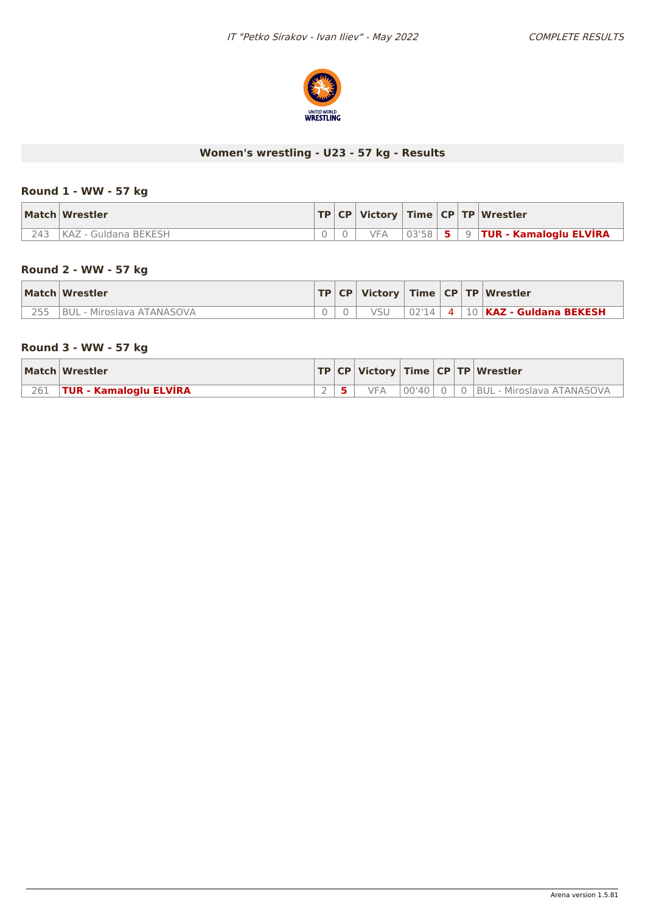

# **Women's wrestling - U23 - 57 kg - Results**

#### **Round 1 - WW - 57 kg**

|     | Match Wrestler       |  |     |  | $ TP CP $ Victory   Time $ CP TP $ Wrestler    |
|-----|----------------------|--|-----|--|------------------------------------------------|
| 243 | KAZ - Guldana BEKESH |  | VFA |  | $\vert$ 03'58   5   9   TUR - Kamaloglu ELVIRA |

#### **Round 2 - WW - 57 kg**

| Match Wrestler            |  |       |  | $\vert$ TP $\vert$ CP $\vert$ Victory $\vert$ Time $\vert$ CP $\vert$ TP $\vert$ Wrestler $\vert$ |
|---------------------------|--|-------|--|---------------------------------------------------------------------------------------------------|
| BUL - Miroslava ATANASOVA |  | 02'14 |  | 4   10   KAZ - Guldana BEKESH                                                                     |

### **Round 3 - WW - 57 kg**

|     | Match Wrestler                |  |            |  | $ TP CP $ Victory $ Time CP TP $ Wrestler |
|-----|-------------------------------|--|------------|--|-------------------------------------------|
| 261 | <b>TUR - Kamaloglu ELVIRA</b> |  | <b>VFA</b> |  | 00'40  0   0  BUL - Miroslava ATANASOVA   |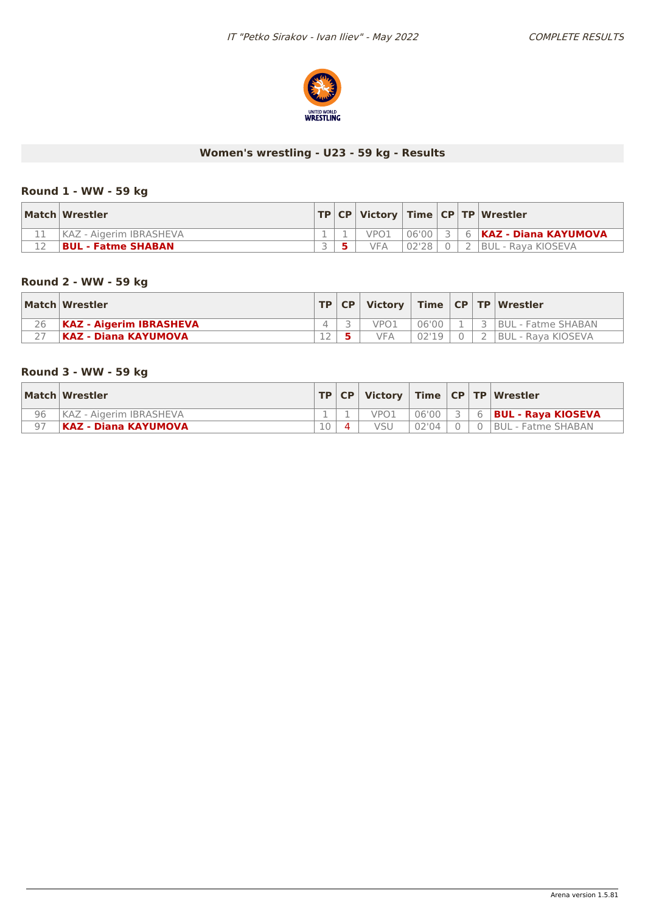

# **Women's wrestling - U23 - 59 kg - Results**

### **Round 1 - WW - 59 kg**

| Match Wrestler            |  |      |       |  | TP   CP   Victory   Time   CP   TP   Wrestler |
|---------------------------|--|------|-------|--|-----------------------------------------------|
| KAZ - Aigerim IBRASHEVA   |  | VPO1 |       |  | 06'00   3   6   <b>KAZ - Diana KAYUMOVA</b>   |
| <b>BUL - Fatme SHABAN</b> |  | VFA  | 02'28 |  | 2 BUL - Rava KIOSEVA                          |

### **Round 2 - WW - 59 kg**

|    | Match Wrestler                 |           | TP CP |     |       |  | Victory   Time   CP   TP   Wrestler |
|----|--------------------------------|-----------|-------|-----|-------|--|-------------------------------------|
| 26 | <b>KAZ - Aigerim IBRASHEVA</b> |           |       |     | 06'00 |  | 3 BUL - Fatme SHABAN                |
|    | <b>IKAZ - Diana KAYUMOVA</b>   | $\bigcap$ |       | VF∆ |       |  | <b>BUL - Rava KIOSEVA</b>           |

### **Round 3 - WW - 59 kg**

|                | Match Wrestler          |          | TP   CP |            |       |            | Victory   Time   CP   TP   Wrestler |
|----------------|-------------------------|----------|---------|------------|-------|------------|-------------------------------------|
| 96             | KAZ - Aigerim IBRASHEVA |          |         | VPO1       | 06'00 | $\epsilon$ | <b>BUL - Raya KIOSEVA</b>           |
| Q <sub>7</sub> | KAZ - Diana KAYUMOVA    | $\Omega$ |         | <b>VSU</b> | 02'04 |            | I BUL - Fatme SHABAN                |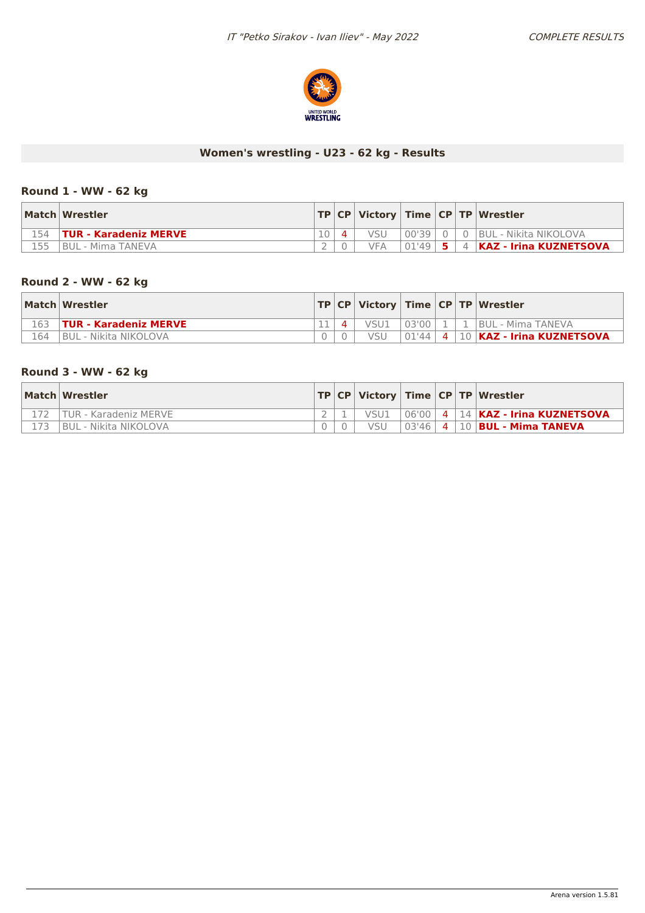

# **Women's wrestling - U23 - 62 kg - Results**

### **Round 1 - WW - 62 kg**

|     | Match Wrestler               |  |           |  | TP   CP   Victory   Time   CP   TP   Wrestler |
|-----|------------------------------|--|-----------|--|-----------------------------------------------|
|     | <b>TUR - Karadeniz MERVE</b> |  |           |  | 00'39   0   0  BUL - Nikita NIKOLOVA          |
| 155 | BUL - Mima TANEVA            |  | $01'49$ 5 |  | 4   KAZ - Irina KUZNETSOVA                    |

### **Round 2 - WW - 62 kg**

|      | Match Wrestler                |  |      |         |  | $ TP CP $ Victory   Time $ CP TP $ Wrestler |
|------|-------------------------------|--|------|---------|--|---------------------------------------------|
| 1.63 | <b>TUR - Karadeniz MERVE</b>  |  | VSU1 | $03'00$ |  | <b>BUL - Mima TANEVA</b>                    |
| 164  | <b>IBUL - Nikita NIKOLOVA</b> |  | vsu  |         |  |                                             |

### **Round 3 - WW - 62 kg**

| Match Wrestler          |  |      |  | $ TP CP $ Victory $ Time CP TP $ Wrestler |
|-------------------------|--|------|--|-------------------------------------------|
| TUR - Karadeniz MERVE   |  | VSU1 |  | 06'00 4 14 KAZ - Irina KUZNETSOVA         |
| l BUL - Nikita NIKOLOVA |  | vsu  |  | $03'46$   4   10   BUL - Mima TANEVA      |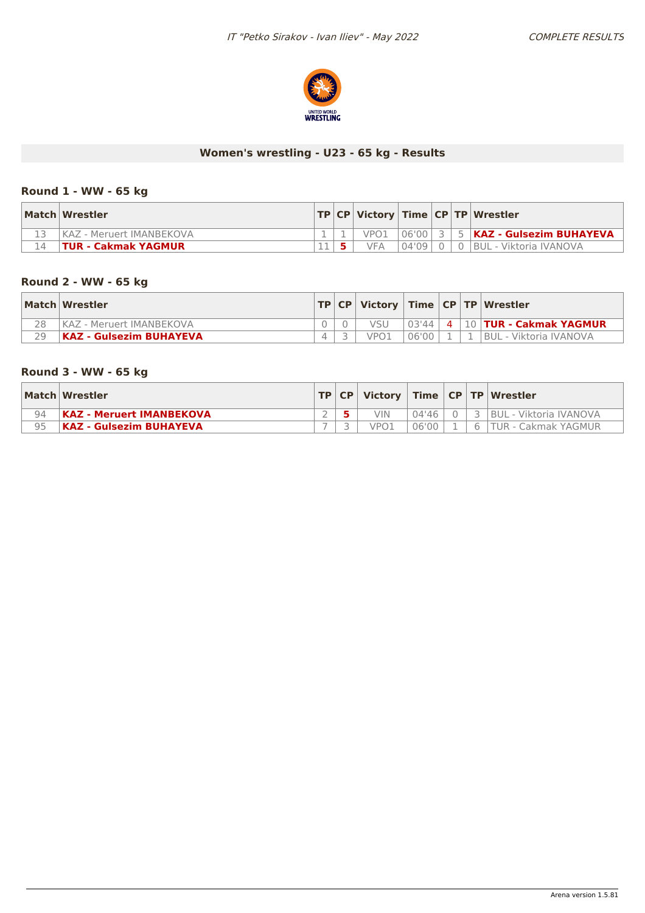

# **Women's wrestling - U23 - 65 kg - Results**

#### **Round 1 - WW - 65 kg**

| Match Wrestler             |  |                  |       |                | TP   CP   Victory   Time   CP   TP   Wrestler |
|----------------------------|--|------------------|-------|----------------|-----------------------------------------------|
| KAZ - Meruert IMANBEKOVA   |  | VPO <sub>1</sub> | 06'00 |                | 3   5   <b>KAZ - Gulsezim BUHAYEVA</b>        |
| <b>TUR - Cakmak YAGMUR</b> |  | <b>VFA</b>       | 04'09 | $\overline{0}$ | 0  BUL - Viktoria IVANOVA                     |

### **Round 2 - WW - 65 kg**

|    | Match Wrestler             |  |      |             |  | TP   CP   Victory   Time   CP   TP   Wrestler                 |
|----|----------------------------|--|------|-------------|--|---------------------------------------------------------------|
| 28 | I KAZ - Meruert IMANBEKOVA |  |      |             |  | $\vert$ 03'44 $\vert$ 4 $\vert$ 10 <b>TUR - Cakmak YAGMUR</b> |
| 29 | KAZ - Gulsezim BUHAYEVA    |  | VPO1 | $06'00$   1 |  | 1   BUL - Viktoria IVANOVA                                    |

### **Round 3 - WW - 65 kg**

|    | Match   Wrestler                |  |            |       |  | TP   CP   Victory   Time   CP   TP   Wrestler |
|----|---------------------------------|--|------------|-------|--|-----------------------------------------------|
| 94 | <b>KAZ - Meruert IMANBEKOVA</b> |  | VIN        | 04'46 |  | BUL - Viktoria IVANOVA                        |
| Q5 | KAZ - Gulsezim BUHAYEVA         |  | <b>JPO</b> | 06'00 |  | TUR - Cakmak YAGMUR                           |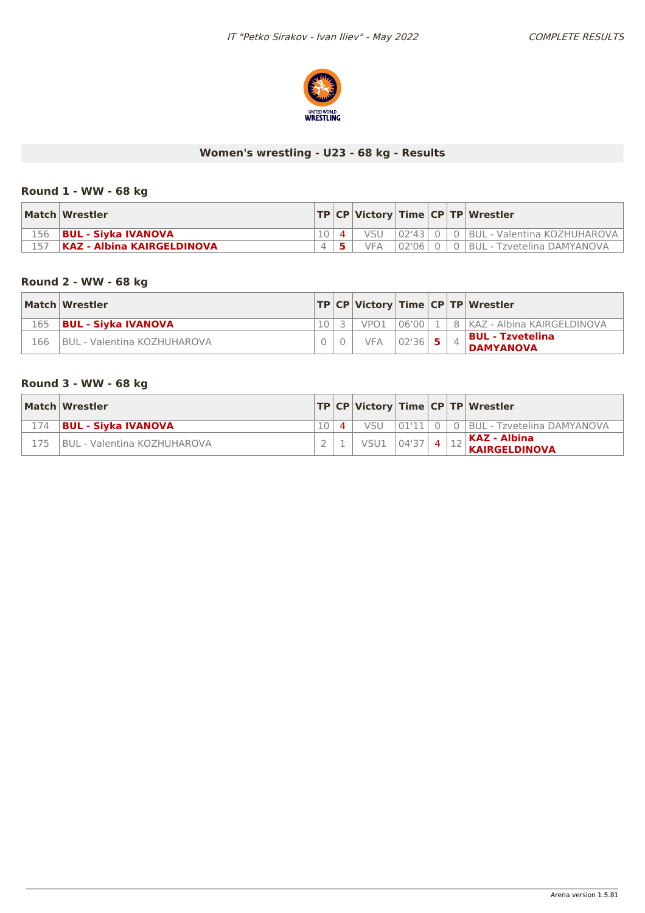

# **Women's wrestling - U23 - 68 kg - Results**

#### **Round 1 - WW - 68 kg**

|     | Match Wrestler                    |  |            |  | TP   CP   Victory   Time   CP   TP   Wrestler |
|-----|-----------------------------------|--|------------|--|-----------------------------------------------|
| 156 | <b>BUL - Sivka IVANOVA</b>        |  |            |  | 02'43   0   0   BUL - Valentina KOZHUHAROVA   |
|     | <b>KAZ - Albina KAIRGELDINOVA</b> |  | <b>VFA</b> |  | 02'06   0   0   BUL - Tzvetelina DAMYANOVA    |

### **Round 2 - WW - 68 kg**

|     | Match Wrestler                     |  |                  |           |  | TP CP Victory Time CP TP Wrestler           |
|-----|------------------------------------|--|------------------|-----------|--|---------------------------------------------|
| 165 | <b>BUL - Siyka IVANOVA</b>         |  | VPO <sub>1</sub> |           |  | 06'00   1   8   KAZ - Albina KAIRGELDINOVA  |
| 166 | <b>BUL - Valentina KOZHUHAROVA</b> |  | <b>VFA</b>       | $02'36$ 5 |  | <b>BUL - Tzvetelina</b><br><b>DAMYANOVA</b> |

### **Round 3 - WW - 68 kg**

|     | Match Wrestler                      |  |                  |  | TP CP Victory Time CP TP Wrestler                          |
|-----|-------------------------------------|--|------------------|--|------------------------------------------------------------|
| 174 | <b>BUL - Sivka IVANOVA</b>          |  | VSU              |  | 01'11 0 0 BUL - Tzvetelina DAMYANOVA                       |
| 175 | <b>IBUL - Valentina KOZHUHAROVA</b> |  | $VSU1$ 04'37 4 3 |  | $\left  \frac{1}{2} \right $ KAZ - Albina<br>KAIRGELDINOVA |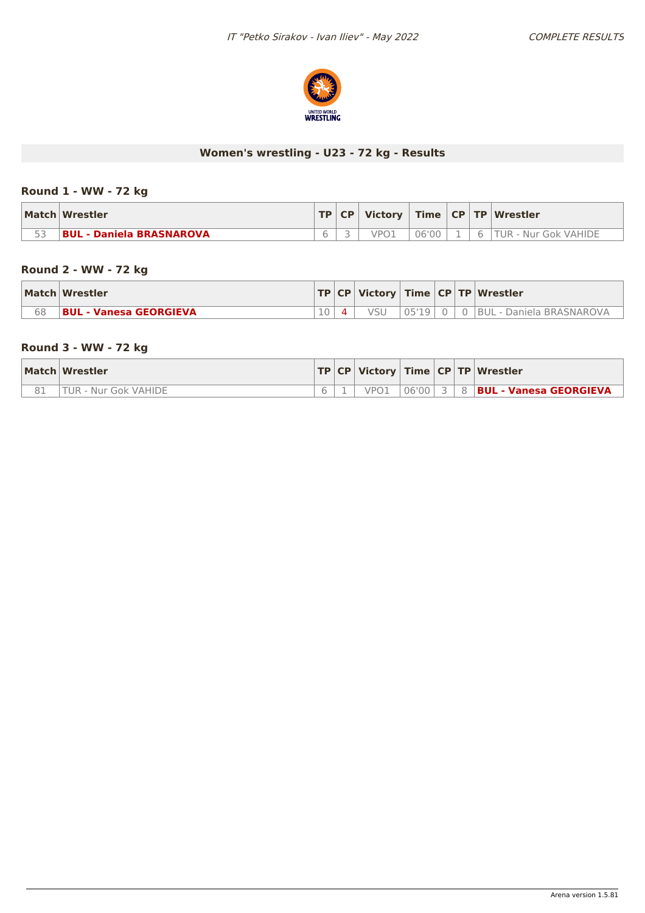

# **Women's wrestling - U23 - 72 kg - Results**

#### **Round 1 - WW - 72 kg**

|    | Match Wrestler                  | TP | CP | Victory    |       |  | Time   CP   TP   Wrestler |
|----|---------------------------------|----|----|------------|-------|--|---------------------------|
| につ | <b>BUL - Daniela BRASNAROVA</b> |    |    | $\sqrt{P}$ | 06'00 |  | ГUR<br>. - Nur Gok VAHIDE |

# **Round 2 - WW - 72 kg**

|    | Match Wrestler                |  |       |  | $ TP CP $ Victory $ Time CP TP $ Wrestler |
|----|-------------------------------|--|-------|--|-------------------------------------------|
| 68 | <b>BUL - Vanesa GEORGIEVA</b> |  | 05'19 |  | <b>BUL - Daniela BRASNAROVA</b>           |

### **Round 3 - WW - 72 kg**

| Match Wrestler              |  |      |  | TP   CP   Victory   Time   CP   TP   Wrestler |
|-----------------------------|--|------|--|-----------------------------------------------|
| <b>TUR - Nur Gok VAHIDE</b> |  | VPO1 |  | 106'00 3 3 8 BUL - Vanesa GEORGIEVA           |